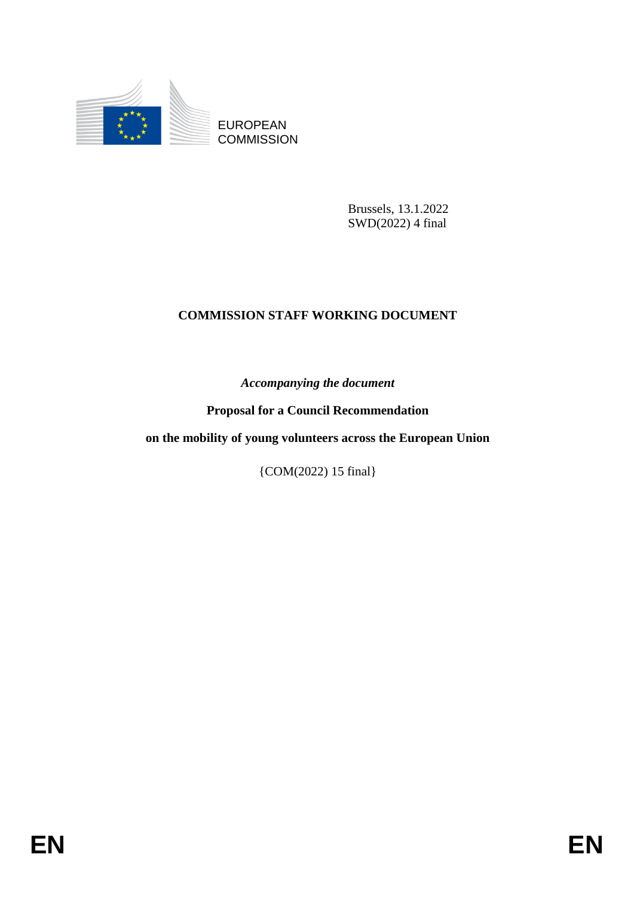

EUROPEAN **COMMISSION** 

> Brussels, 13.1.2022 SWD(2022) 4 final

# **COMMISSION STAFF WORKING DOCUMENT**

*Accompanying the document*

**Proposal for a Council Recommendation**

**on the mobility of young volunteers across the European Union**

{COM(2022) 15 final}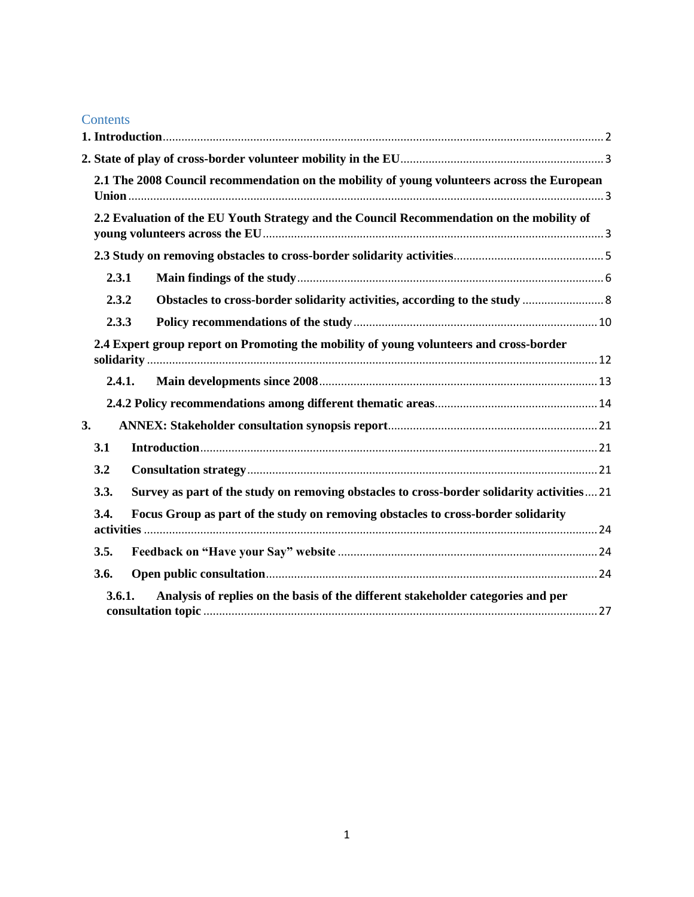### **Contents**

| 2.1 The 2008 Council recommendation on the mobility of young volunteers across the European        |  |
|----------------------------------------------------------------------------------------------------|--|
| 2.2 Evaluation of the EU Youth Strategy and the Council Recommendation on the mobility of          |  |
|                                                                                                    |  |
| 2.3.1                                                                                              |  |
| 2.3.2                                                                                              |  |
| 2.3.3                                                                                              |  |
| 2.4 Expert group report on Promoting the mobility of young volunteers and cross-border             |  |
| 2.4.1.                                                                                             |  |
|                                                                                                    |  |
| 3.                                                                                                 |  |
| 3.1                                                                                                |  |
| 3.2                                                                                                |  |
| Survey as part of the study on removing obstacles to cross-border solidarity activities 21<br>3.3. |  |
| Focus Group as part of the study on removing obstacles to cross-border solidarity<br>3.4.          |  |
| 3.5.                                                                                               |  |
| 3.6.                                                                                               |  |
| Analysis of replies on the basis of the different stakeholder categories and per<br>3.6.1.         |  |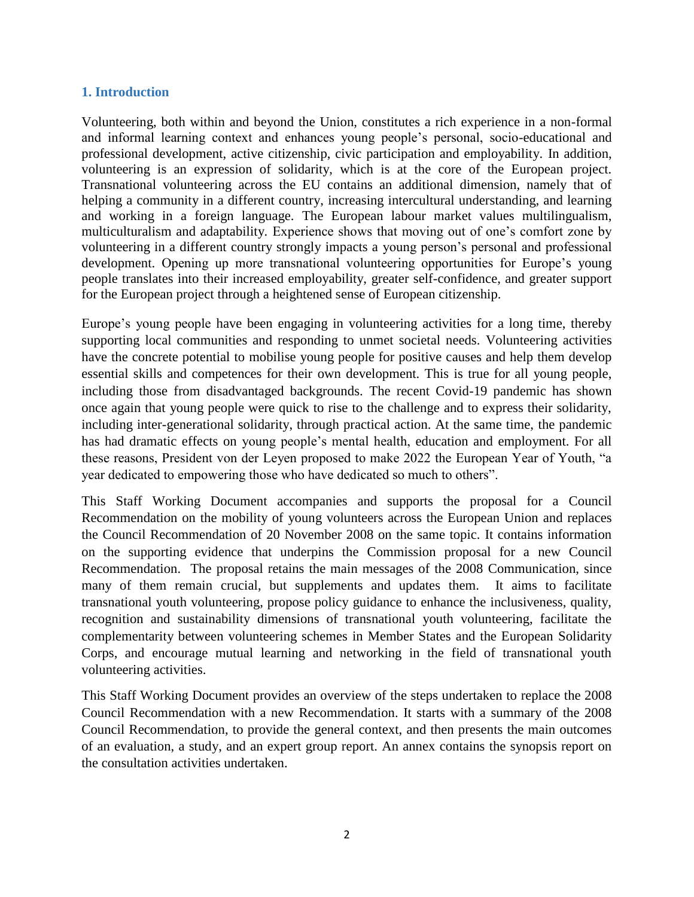#### <span id="page-2-0"></span>**1. Introduction**

Volunteering, both within and beyond the Union, constitutes a rich experience in a non-formal and informal learning context and enhances young people's personal, socio-educational and professional development, active citizenship, civic participation and employability. In addition, volunteering is an expression of solidarity, which is at the core of the European project. Transnational volunteering across the EU contains an additional dimension, namely that of helping a community in a different country, increasing intercultural understanding, and learning and working in a foreign language. The European labour market values multilingualism, multiculturalism and adaptability. Experience shows that moving out of one's comfort zone by volunteering in a different country strongly impacts a young person's personal and professional development. Opening up more transnational volunteering opportunities for Europe's young people translates into their increased employability, greater self-confidence, and greater support for the European project through a heightened sense of European citizenship.

Europe's young people have been engaging in volunteering activities for a long time, thereby supporting local communities and responding to unmet societal needs. Volunteering activities have the concrete potential to mobilise young people for positive causes and help them develop essential skills and competences for their own development. This is true for all young people, including those from disadvantaged backgrounds. The recent Covid-19 pandemic has shown once again that young people were quick to rise to the challenge and to express their solidarity, including inter-generational solidarity, through practical action. At the same time, the pandemic has had dramatic effects on young people's mental health, education and employment. For all these reasons, President von der Leyen proposed to make 2022 the European Year of Youth, "a year dedicated to empowering those who have dedicated so much to others".

This Staff Working Document accompanies and supports the proposal for a Council Recommendation on the mobility of young volunteers across the European Union and replaces the Council Recommendation of 20 November 2008 on the same topic. It contains information on the supporting evidence that underpins the Commission proposal for a new Council Recommendation. The proposal retains the main messages of the 2008 Communication, since many of them remain crucial, but supplements and updates them. It aims to facilitate transnational youth volunteering, propose policy guidance to enhance the inclusiveness, quality, recognition and sustainability dimensions of transnational youth volunteering, facilitate the complementarity between volunteering schemes in Member States and the European Solidarity Corps, and encourage mutual learning and networking in the field of transnational youth volunteering activities.

This Staff Working Document provides an overview of the steps undertaken to replace the 2008 Council Recommendation with a new Recommendation. It starts with a summary of the 2008 Council Recommendation, to provide the general context, and then presents the main outcomes of an evaluation, a study, and an expert group report. An annex contains the synopsis report on the consultation activities undertaken.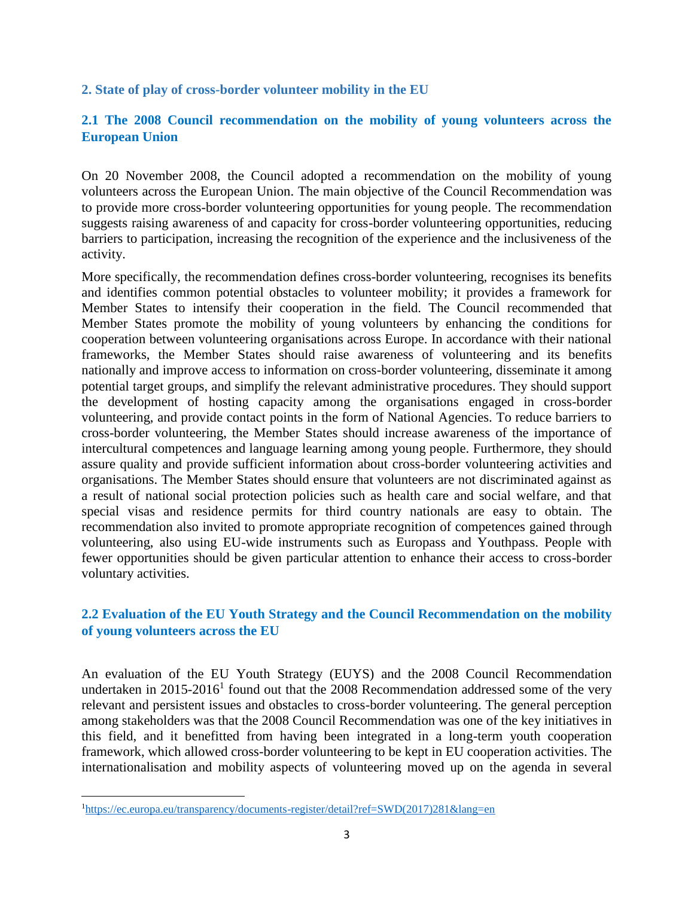<span id="page-3-0"></span>**2. State of play of cross-border volunteer mobility in the EU**

### <span id="page-3-1"></span>**2.1 The 2008 Council recommendation on the mobility of young volunteers across the European Union**

On 20 November 2008, the Council adopted a recommendation on the mobility of young volunteers across the European Union. The main objective of the Council Recommendation was to provide more cross-border volunteering opportunities for young people. The recommendation suggests raising awareness of and capacity for cross-border volunteering opportunities, reducing barriers to participation, increasing the recognition of the experience and the inclusiveness of the activity.

More specifically, the recommendation defines cross-border volunteering, recognises its benefits and identifies common potential obstacles to volunteer mobility; it provides a framework for Member States to intensify their cooperation in the field. The Council recommended that Member States promote the mobility of young volunteers by enhancing the conditions for cooperation between volunteering organisations across Europe. In accordance with their national frameworks, the Member States should raise awareness of volunteering and its benefits nationally and improve access to information on cross-border volunteering, disseminate it among potential target groups, and simplify the relevant administrative procedures. They should support the development of hosting capacity among the organisations engaged in cross-border volunteering, and provide contact points in the form of National Agencies. To reduce barriers to cross-border volunteering, the Member States should increase awareness of the importance of intercultural competences and language learning among young people. Furthermore, they should assure quality and provide sufficient information about cross-border volunteering activities and organisations. The Member States should ensure that volunteers are not discriminated against as a result of national social protection policies such as health care and social welfare, and that special visas and residence permits for third country nationals are easy to obtain. The recommendation also invited to promote appropriate recognition of competences gained through volunteering, also using EU-wide instruments such as Europass and Youthpass. People with fewer opportunities should be given particular attention to enhance their access to cross-border voluntary activities.

# <span id="page-3-2"></span>**2.2 Evaluation of the EU Youth Strategy and the Council Recommendation on the mobility of young volunteers across the EU**

An evaluation of the EU Youth Strategy (EUYS) and the 2008 Council Recommendation undertaken in  $2015-2016<sup>1</sup>$  found out that the 2008 Recommendation addressed some of the very relevant and persistent issues and obstacles to cross-border volunteering. The general perception among stakeholders was that the 2008 Council Recommendation was one of the key initiatives in this field, and it benefitted from having been integrated in a long-term youth cooperation framework, which allowed cross-border volunteering to be kept in EU cooperation activities. The internationalisation and mobility aspects of volunteering moved up on the agenda in several

 $\overline{\phantom{a}}$ 

<sup>1</sup>[https://ec.europa.eu/transparency/documents-register/detail?ref=SWD\(2017\)281&lang=en](https://ec.europa.eu/transparency/documents-register/detail?ref=SWD(2017)281&lang=en)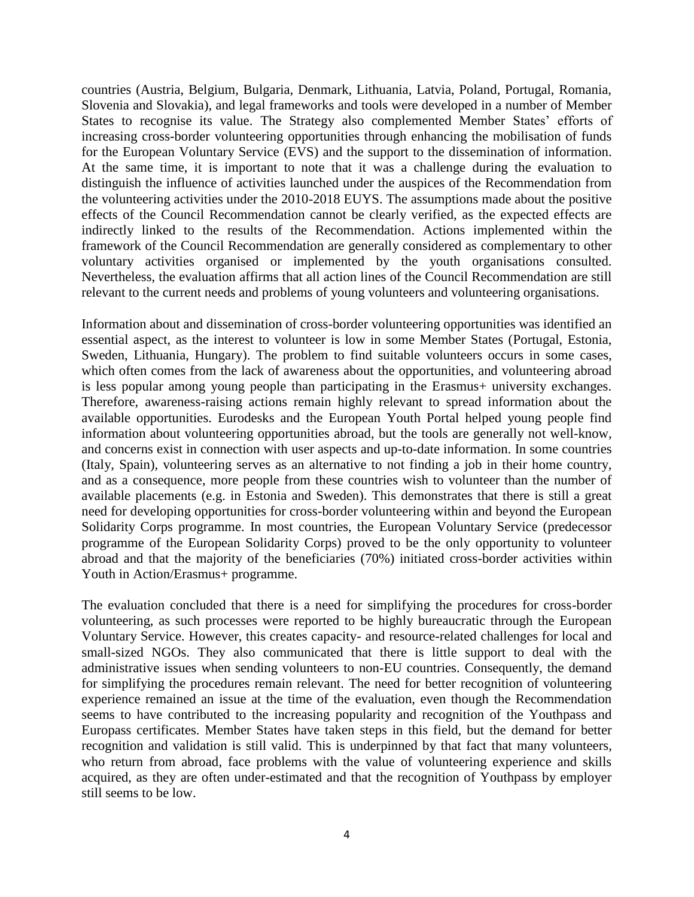countries (Austria, Belgium, Bulgaria, Denmark, Lithuania, Latvia, Poland, Portugal, Romania, Slovenia and Slovakia), and legal frameworks and tools were developed in a number of Member States to recognise its value. The Strategy also complemented Member States' efforts of increasing cross-border volunteering opportunities through enhancing the mobilisation of funds for the European Voluntary Service (EVS) and the support to the dissemination of information. At the same time, it is important to note that it was a challenge during the evaluation to distinguish the influence of activities launched under the auspices of the Recommendation from the volunteering activities under the 2010-2018 EUYS. The assumptions made about the positive effects of the Council Recommendation cannot be clearly verified, as the expected effects are indirectly linked to the results of the Recommendation. Actions implemented within the framework of the Council Recommendation are generally considered as complementary to other voluntary activities organised or implemented by the youth organisations consulted. Nevertheless, the evaluation affirms that all action lines of the Council Recommendation are still relevant to the current needs and problems of young volunteers and volunteering organisations.

Information about and dissemination of cross-border volunteering opportunities was identified an essential aspect, as the interest to volunteer is low in some Member States (Portugal, Estonia, Sweden, Lithuania, Hungary). The problem to find suitable volunteers occurs in some cases, which often comes from the lack of awareness about the opportunities, and volunteering abroad is less popular among young people than participating in the Erasmus+ university exchanges. Therefore, awareness-raising actions remain highly relevant to spread information about the available opportunities. Eurodesks and the European Youth Portal helped young people find information about volunteering opportunities abroad, but the tools are generally not well-know, and concerns exist in connection with user aspects and up-to-date information. In some countries (Italy, Spain), volunteering serves as an alternative to not finding a job in their home country, and as a consequence, more people from these countries wish to volunteer than the number of available placements (e.g. in Estonia and Sweden). This demonstrates that there is still a great need for developing opportunities for cross-border volunteering within and beyond the European Solidarity Corps programme. In most countries, the European Voluntary Service (predecessor programme of the European Solidarity Corps) proved to be the only opportunity to volunteer abroad and that the majority of the beneficiaries (70%) initiated cross-border activities within Youth in Action/Erasmus+ programme.

The evaluation concluded that there is a need for simplifying the procedures for cross-border volunteering, as such processes were reported to be highly bureaucratic through the European Voluntary Service. However, this creates capacity- and resource-related challenges for local and small-sized NGOs. They also communicated that there is little support to deal with the administrative issues when sending volunteers to non-EU countries. Consequently, the demand for simplifying the procedures remain relevant. The need for better recognition of volunteering experience remained an issue at the time of the evaluation, even though the Recommendation seems to have contributed to the increasing popularity and recognition of the Youthpass and Europass certificates. Member States have taken steps in this field, but the demand for better recognition and validation is still valid. This is underpinned by that fact that many volunteers, who return from abroad, face problems with the value of volunteering experience and skills acquired, as they are often under-estimated and that the recognition of Youthpass by employer still seems to be low.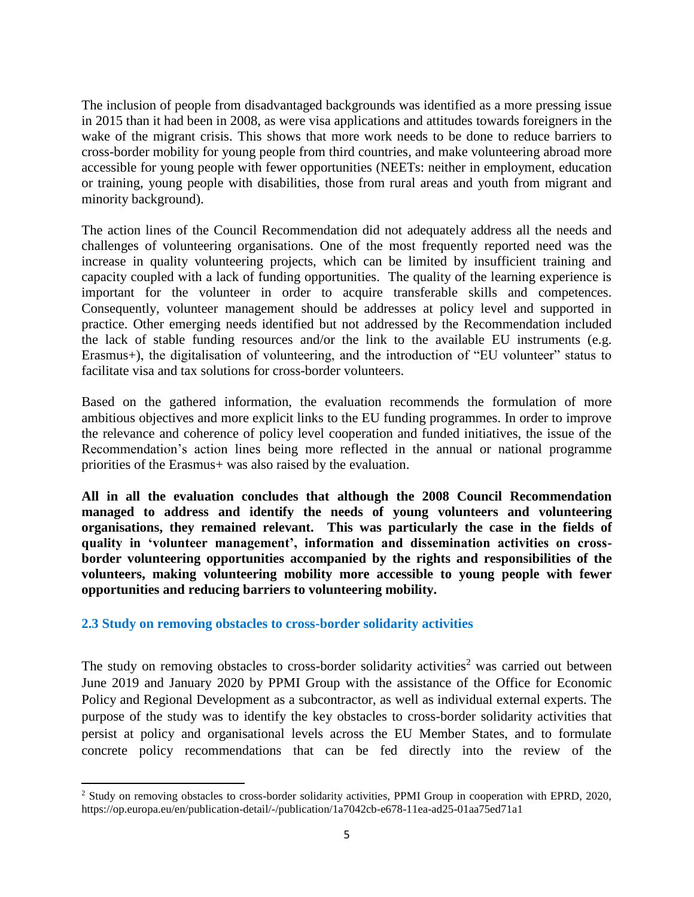The inclusion of people from disadvantaged backgrounds was identified as a more pressing issue in 2015 than it had been in 2008, as were visa applications and attitudes towards foreigners in the wake of the migrant crisis. This shows that more work needs to be done to reduce barriers to cross-border mobility for young people from third countries, and make volunteering abroad more accessible for young people with fewer opportunities (NEETs: neither in employment, education or training, young people with disabilities, those from rural areas and youth from migrant and minority background).

The action lines of the Council Recommendation did not adequately address all the needs and challenges of volunteering organisations. One of the most frequently reported need was the increase in quality volunteering projects, which can be limited by insufficient training and capacity coupled with a lack of funding opportunities. The quality of the learning experience is important for the volunteer in order to acquire transferable skills and competences. Consequently, volunteer management should be addresses at policy level and supported in practice. Other emerging needs identified but not addressed by the Recommendation included the lack of stable funding resources and/or the link to the available EU instruments (e.g. Erasmus+), the digitalisation of volunteering, and the introduction of "EU volunteer" status to facilitate visa and tax solutions for cross-border volunteers.

Based on the gathered information, the evaluation recommends the formulation of more ambitious objectives and more explicit links to the EU funding programmes. In order to improve the relevance and coherence of policy level cooperation and funded initiatives, the issue of the Recommendation's action lines being more reflected in the annual or national programme priorities of the Erasmus+ was also raised by the evaluation.

**All in all the evaluation concludes that although the 2008 Council Recommendation managed to address and identify the needs of young volunteers and volunteering organisations, they remained relevant. This was particularly the case in the fields of quality in 'volunteer management', information and dissemination activities on crossborder volunteering opportunities accompanied by the rights and responsibilities of the volunteers, making volunteering mobility more accessible to young people with fewer opportunities and reducing barriers to volunteering mobility.**

### <span id="page-5-0"></span>**2.3 Study on removing obstacles to cross-border solidarity activities**

 $\overline{a}$ 

The study on removing obstacles to cross-border solidarity activities<sup>2</sup> was carried out between June 2019 and January 2020 by PPMI Group with the assistance of the Office for Economic Policy and Regional Development as a subcontractor, as well as individual external experts. The purpose of the study was to identify the key obstacles to cross-border solidarity activities that persist at policy and organisational levels across the EU Member States, and to formulate concrete policy recommendations that can be fed directly into the review of the

<sup>&</sup>lt;sup>2</sup> Study on removing obstacles to cross-border solidarity activities, PPMI Group in cooperation with EPRD, 2020, https://op.europa.eu/en/publication-detail/-/publication/1a7042cb-e678-11ea-ad25-01aa75ed71a1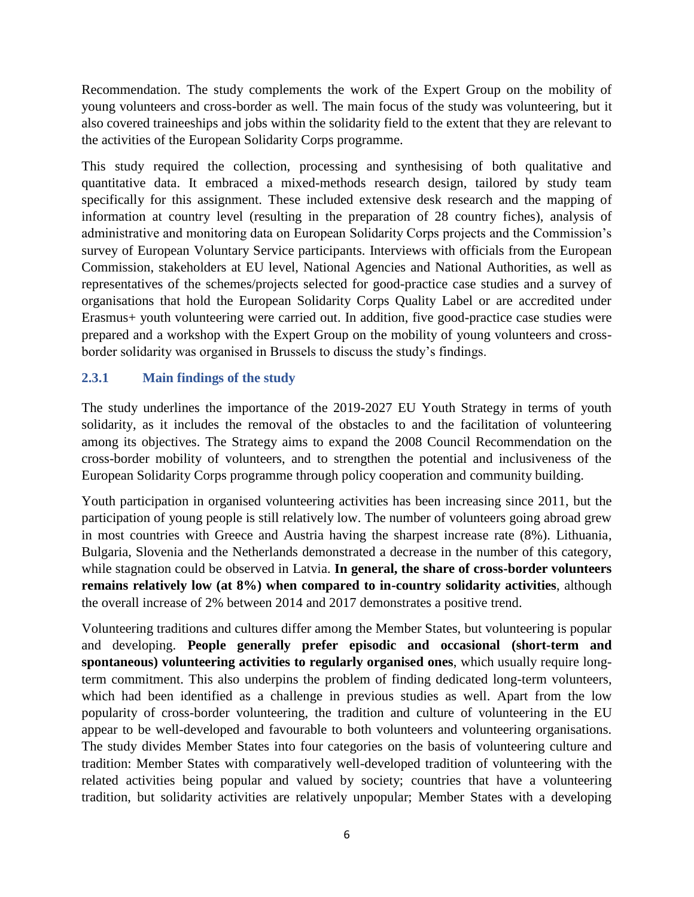Recommendation. The study complements the work of the Expert Group on the mobility of young volunteers and cross-border as well. The main focus of the study was volunteering, but it also covered traineeships and jobs within the solidarity field to the extent that they are relevant to the activities of the European Solidarity Corps programme.

This study required the collection, processing and synthesising of both qualitative and quantitative data. It embraced a mixed-methods research design, tailored by study team specifically for this assignment. These included extensive desk research and the mapping of information at country level (resulting in the preparation of 28 country fiches), analysis of administrative and monitoring data on European Solidarity Corps projects and the Commission's survey of European Voluntary Service participants. Interviews with officials from the European Commission, stakeholders at EU level, National Agencies and National Authorities, as well as representatives of the schemes/projects selected for good-practice case studies and a survey of organisations that hold the European Solidarity Corps Quality Label or are accredited under Erasmus+ youth volunteering were carried out. In addition, five good-practice case studies were prepared and a workshop with the Expert Group on the mobility of young volunteers and crossborder solidarity was organised in Brussels to discuss the study's findings.

# <span id="page-6-0"></span>**2.3.1 Main findings of the study**

The study underlines the importance of the 2019-2027 EU Youth Strategy in terms of youth solidarity, as it includes the removal of the obstacles to and the facilitation of volunteering among its objectives. The Strategy aims to expand the 2008 Council Recommendation on the cross-border mobility of volunteers, and to strengthen the potential and inclusiveness of the European Solidarity Corps programme through policy cooperation and community building.

Youth participation in organised volunteering activities has been increasing since 2011, but the participation of young people is still relatively low. The number of volunteers going abroad grew in most countries with Greece and Austria having the sharpest increase rate (8%). Lithuania, Bulgaria, Slovenia and the Netherlands demonstrated a decrease in the number of this category, while stagnation could be observed in Latvia. **In general, the share of cross-border volunteers remains relatively low (at 8%) when compared to in-country solidarity activities**, although the overall increase of 2% between 2014 and 2017 demonstrates a positive trend.

Volunteering traditions and cultures differ among the Member States, but volunteering is popular and developing. **People generally prefer episodic and occasional (short-term and spontaneous) volunteering activities to regularly organised ones**, which usually require longterm commitment. This also underpins the problem of finding dedicated long-term volunteers, which had been identified as a challenge in previous studies as well. Apart from the low popularity of cross-border volunteering, the tradition and culture of volunteering in the EU appear to be well-developed and favourable to both volunteers and volunteering organisations. The study divides Member States into four categories on the basis of volunteering culture and tradition: Member States with comparatively well-developed tradition of volunteering with the related activities being popular and valued by society; countries that have a volunteering tradition, but solidarity activities are relatively unpopular; Member States with a developing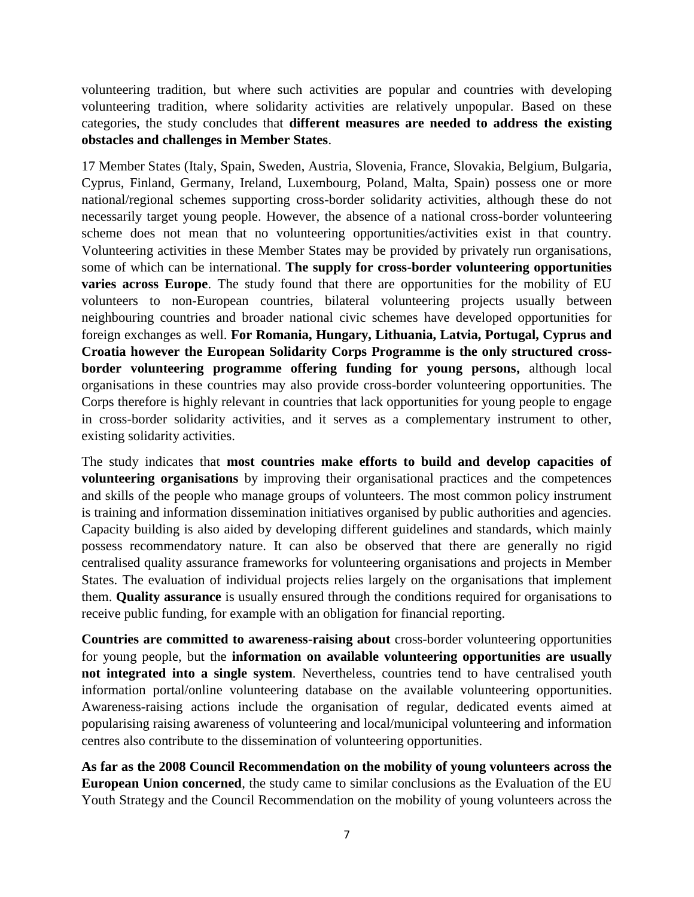volunteering tradition, but where such activities are popular and countries with developing volunteering tradition, where solidarity activities are relatively unpopular. Based on these categories, the study concludes that **different measures are needed to address the existing obstacles and challenges in Member States**.

17 Member States (Italy, Spain, Sweden, Austria, Slovenia, France, Slovakia, Belgium, Bulgaria, Cyprus, Finland, Germany, Ireland, Luxembourg, Poland, Malta, Spain) possess one or more national/regional schemes supporting cross-border solidarity activities, although these do not necessarily target young people. However, the absence of a national cross-border volunteering scheme does not mean that no volunteering opportunities/activities exist in that country. Volunteering activities in these Member States may be provided by privately run organisations, some of which can be international. **The supply for cross-border volunteering opportunities varies across Europe**. The study found that there are opportunities for the mobility of EU volunteers to non-European countries, bilateral volunteering projects usually between neighbouring countries and broader national civic schemes have developed opportunities for foreign exchanges as well. **For Romania, Hungary, Lithuania, Latvia, Portugal, Cyprus and Croatia however the European Solidarity Corps Programme is the only structured crossborder volunteering programme offering funding for young persons,** although local organisations in these countries may also provide cross-border volunteering opportunities. The Corps therefore is highly relevant in countries that lack opportunities for young people to engage in cross-border solidarity activities, and it serves as a complementary instrument to other, existing solidarity activities.

The study indicates that **most countries make efforts to build and develop capacities of volunteering organisations** by improving their organisational practices and the competences and skills of the people who manage groups of volunteers. The most common policy instrument is training and information dissemination initiatives organised by public authorities and agencies. Capacity building is also aided by developing different guidelines and standards, which mainly possess recommendatory nature. It can also be observed that there are generally no rigid centralised quality assurance frameworks for volunteering organisations and projects in Member States. The evaluation of individual projects relies largely on the organisations that implement them. **Quality assurance** is usually ensured through the conditions required for organisations to receive public funding, for example with an obligation for financial reporting.

**Countries are committed to awareness-raising about** cross-border volunteering opportunities for young people, but the **information on available volunteering opportunities are usually not integrated into a single system**. Nevertheless, countries tend to have centralised youth information portal/online volunteering database on the available volunteering opportunities. Awareness-raising actions include the organisation of regular, dedicated events aimed at popularising raising awareness of volunteering and local/municipal volunteering and information centres also contribute to the dissemination of volunteering opportunities.

**As far as the 2008 Council Recommendation on the mobility of young volunteers across the European Union concerned**, the study came to similar conclusions as the Evaluation of the EU Youth Strategy and the Council Recommendation on the mobility of young volunteers across the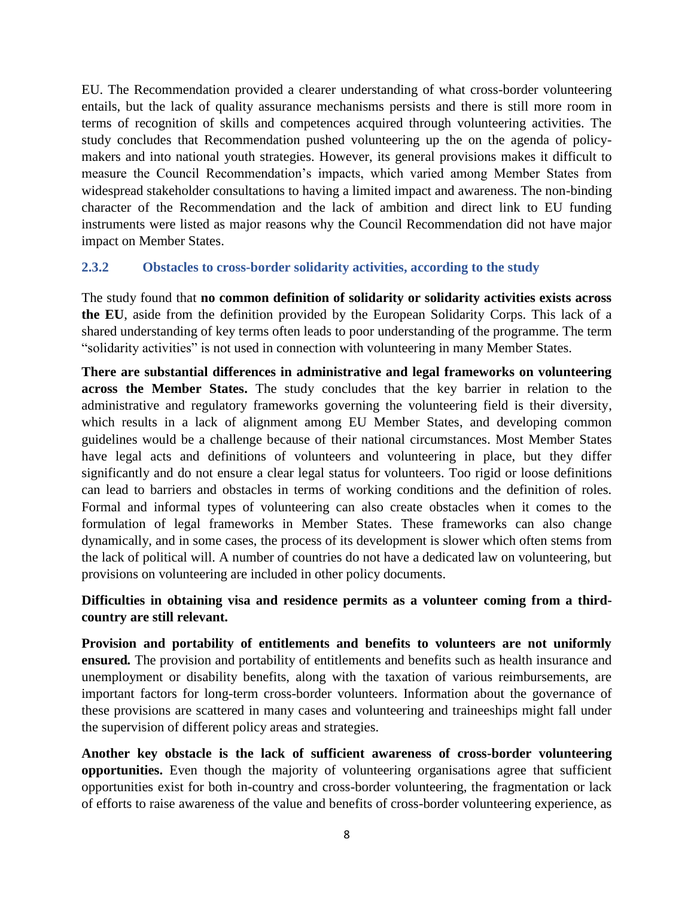EU. The Recommendation provided a clearer understanding of what cross-border volunteering entails, but the lack of quality assurance mechanisms persists and there is still more room in terms of recognition of skills and competences acquired through volunteering activities. The study concludes that Recommendation pushed volunteering up the on the agenda of policymakers and into national youth strategies. However, its general provisions makes it difficult to measure the Council Recommendation's impacts, which varied among Member States from widespread stakeholder consultations to having a limited impact and awareness. The non-binding character of the Recommendation and the lack of ambition and direct link to EU funding instruments were listed as major reasons why the Council Recommendation did not have major impact on Member States.

### <span id="page-8-0"></span>**2.3.2 Obstacles to cross-border solidarity activities, according to the study**

The study found that **no common definition of solidarity or solidarity activities exists across the EU**, aside from the definition provided by the European Solidarity Corps. This lack of a shared understanding of key terms often leads to poor understanding of the programme. The term "solidarity activities" is not used in connection with volunteering in many Member States.

**There are substantial differences in administrative and legal frameworks on volunteering across the Member States.** The study concludes that the key barrier in relation to the administrative and regulatory frameworks governing the volunteering field is their diversity, which results in a lack of alignment among EU Member States, and developing common guidelines would be a challenge because of their national circumstances. Most Member States have legal acts and definitions of volunteers and volunteering in place, but they differ significantly and do not ensure a clear legal status for volunteers. Too rigid or loose definitions can lead to barriers and obstacles in terms of working conditions and the definition of roles. Formal and informal types of volunteering can also create obstacles when it comes to the formulation of legal frameworks in Member States. These frameworks can also change dynamically, and in some cases, the process of its development is slower which often stems from the lack of political will. A number of countries do not have a dedicated law on volunteering, but provisions on volunteering are included in other policy documents.

### **Difficulties in obtaining visa and residence permits as a volunteer coming from a thirdcountry are still relevant.**

**Provision and portability of entitlements and benefits to volunteers are not uniformly ensured***.* The provision and portability of entitlements and benefits such as health insurance and unemployment or disability benefits, along with the taxation of various reimbursements, are important factors for long-term cross-border volunteers. Information about the governance of these provisions are scattered in many cases and volunteering and traineeships might fall under the supervision of different policy areas and strategies.

**Another key obstacle is the lack of sufficient awareness of cross-border volunteering opportunities.** Even though the majority of volunteering organisations agree that sufficient opportunities exist for both in-country and cross-border volunteering, the fragmentation or lack of efforts to raise awareness of the value and benefits of cross-border volunteering experience, as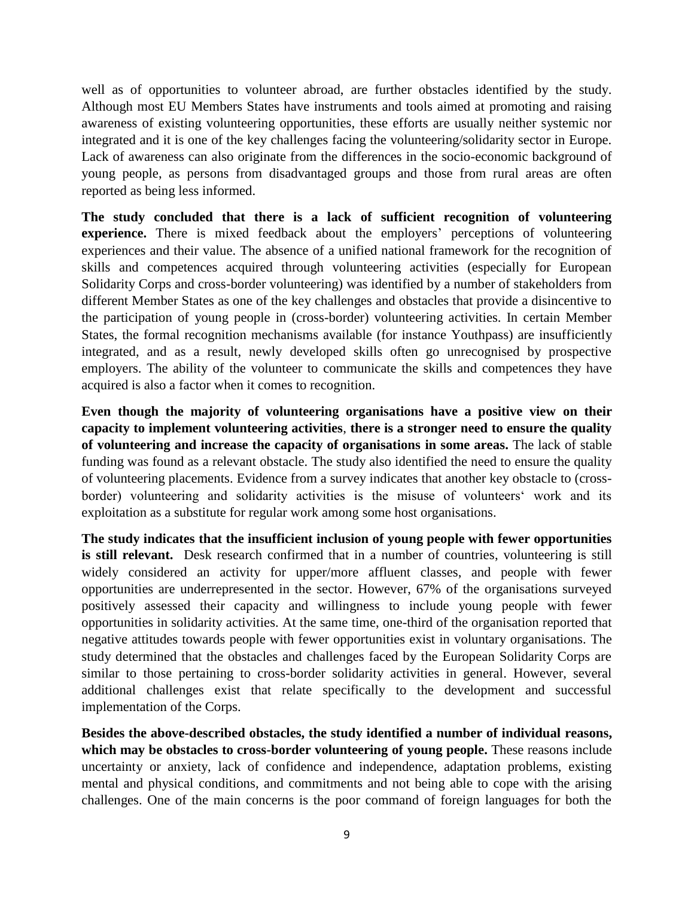well as of opportunities to volunteer abroad, are further obstacles identified by the study. Although most EU Members States have instruments and tools aimed at promoting and raising awareness of existing volunteering opportunities, these efforts are usually neither systemic nor integrated and it is one of the key challenges facing the volunteering/solidarity sector in Europe. Lack of awareness can also originate from the differences in the socio-economic background of young people, as persons from disadvantaged groups and those from rural areas are often reported as being less informed.

**The study concluded that there is a lack of sufficient recognition of volunteering experience.** There is mixed feedback about the employers' perceptions of volunteering experiences and their value. The absence of a unified national framework for the recognition of skills and competences acquired through volunteering activities (especially for European Solidarity Corps and cross-border volunteering) was identified by a number of stakeholders from different Member States as one of the key challenges and obstacles that provide a disincentive to the participation of young people in (cross-border) volunteering activities. In certain Member States, the formal recognition mechanisms available (for instance Youthpass) are insufficiently integrated, and as a result, newly developed skills often go unrecognised by prospective employers. The ability of the volunteer to communicate the skills and competences they have acquired is also a factor when it comes to recognition.

**Even though the majority of volunteering organisations have a positive view on their capacity to implement volunteering activities**, **there is a stronger need to ensure the quality of volunteering and increase the capacity of organisations in some areas.** The lack of stable funding was found as a relevant obstacle. The study also identified the need to ensure the quality of volunteering placements. Evidence from a survey indicates that another key obstacle to (crossborder) volunteering and solidarity activities is the misuse of volunteers' work and its exploitation as a substitute for regular work among some host organisations.

**The study indicates that the insufficient inclusion of young people with fewer opportunities is still relevant.** Desk research confirmed that in a number of countries, volunteering is still widely considered an activity for upper/more affluent classes, and people with fewer opportunities are underrepresented in the sector. However, 67% of the organisations surveyed positively assessed their capacity and willingness to include young people with fewer opportunities in solidarity activities. At the same time, one-third of the organisation reported that negative attitudes towards people with fewer opportunities exist in voluntary organisations. The study determined that the obstacles and challenges faced by the European Solidarity Corps are similar to those pertaining to cross-border solidarity activities in general. However, several additional challenges exist that relate specifically to the development and successful implementation of the Corps.

**Besides the above-described obstacles, the study identified a number of individual reasons, which may be obstacles to cross-border volunteering of young people.** These reasons include uncertainty or anxiety, lack of confidence and independence, adaptation problems, existing mental and physical conditions, and commitments and not being able to cope with the arising challenges. One of the main concerns is the poor command of foreign languages for both the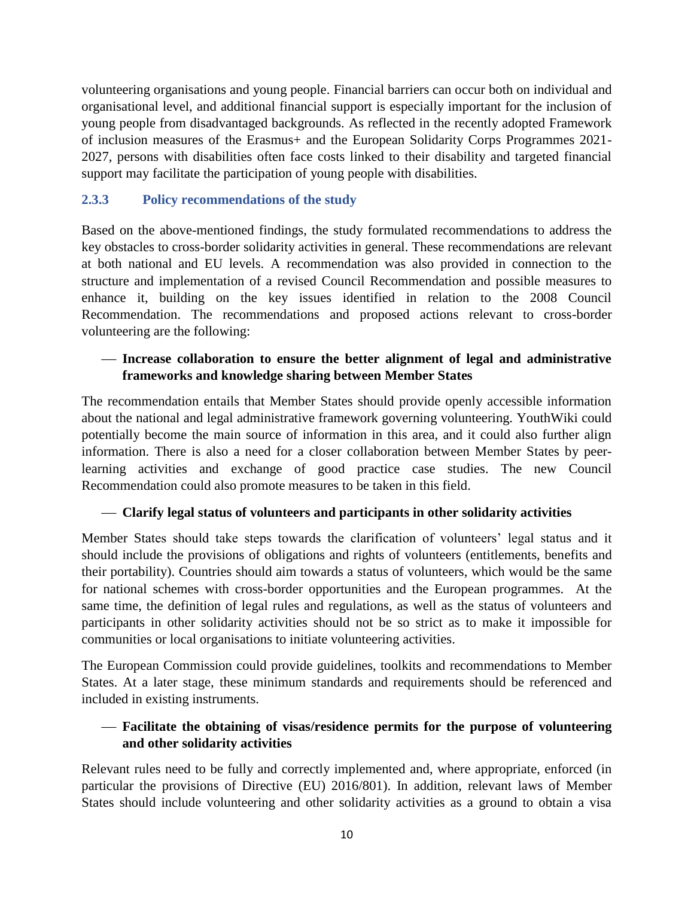volunteering organisations and young people. Financial barriers can occur both on individual and organisational level, and additional financial support is especially important for the inclusion of young people from disadvantaged backgrounds. As reflected in the recently adopted Framework of inclusion measures of the Erasmus+ and the European Solidarity Corps Programmes 2021- 2027, persons with disabilities often face costs linked to their disability and targeted financial support may facilitate the participation of young people with disabilities.

## <span id="page-10-0"></span>**2.3.3 Policy recommendations of the study**

Based on the above-mentioned findings, the study formulated recommendations to address the key obstacles to cross-border solidarity activities in general. These recommendations are relevant at both national and EU levels. A recommendation was also provided in connection to the structure and implementation of a revised Council Recommendation and possible measures to enhance it, building on the key issues identified in relation to the 2008 Council Recommendation. The recommendations and proposed actions relevant to cross-border volunteering are the following:

## **Increase collaboration to ensure the better alignment of legal and administrative frameworks and knowledge sharing between Member States**

The recommendation entails that Member States should provide openly accessible information about the national and legal administrative framework governing volunteering. YouthWiki could potentially become the main source of information in this area, and it could also further align information. There is also a need for a closer collaboration between Member States by peerlearning activities and exchange of good practice case studies. The new Council Recommendation could also promote measures to be taken in this field.

### **Clarify legal status of volunteers and participants in other solidarity activities**

Member States should take steps towards the clarification of volunteers' legal status and it should include the provisions of obligations and rights of volunteers (entitlements, benefits and their portability). Countries should aim towards a status of volunteers, which would be the same for national schemes with cross-border opportunities and the European programmes. At the same time, the definition of legal rules and regulations, as well as the status of volunteers and participants in other solidarity activities should not be so strict as to make it impossible for communities or local organisations to initiate volunteering activities.

The European Commission could provide guidelines, toolkits and recommendations to Member States. At a later stage, these minimum standards and requirements should be referenced and included in existing instruments.

# **Facilitate the obtaining of visas/residence permits for the purpose of volunteering and other solidarity activities**

Relevant rules need to be fully and correctly implemented and, where appropriate, enforced (in particular the provisions of Directive (EU) 2016/801). In addition, relevant laws of Member States should include volunteering and other solidarity activities as a ground to obtain a visa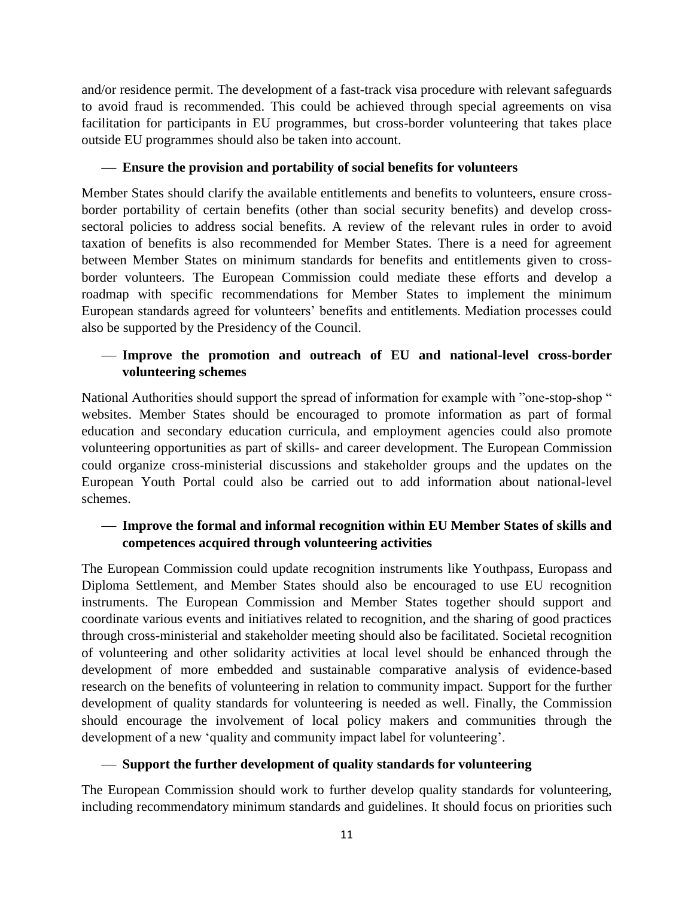and/or residence permit. The development of a fast-track visa procedure with relevant safeguards to avoid fraud is recommended. This could be achieved through special agreements on visa facilitation for participants in EU programmes, but cross-border volunteering that takes place outside EU programmes should also be taken into account.

### **Ensure the provision and portability of social benefits for volunteers**

Member States should clarify the available entitlements and benefits to volunteers, ensure crossborder portability of certain benefits (other than social security benefits) and develop crosssectoral policies to address social benefits. A review of the relevant rules in order to avoid taxation of benefits is also recommended for Member States. There is a need for agreement between Member States on minimum standards for benefits and entitlements given to crossborder volunteers. The European Commission could mediate these efforts and develop a roadmap with specific recommendations for Member States to implement the minimum European standards agreed for volunteers' benefits and entitlements. Mediation processes could also be supported by the Presidency of the Council.

## **Improve the promotion and outreach of EU and national-level cross-border volunteering schemes**

National Authorities should support the spread of information for example with "one-stop-shop " websites. Member States should be encouraged to promote information as part of formal education and secondary education curricula, and employment agencies could also promote volunteering opportunities as part of skills- and career development. The European Commission could organize cross-ministerial discussions and stakeholder groups and the updates on the European Youth Portal could also be carried out to add information about national-level schemes.

# **Improve the formal and informal recognition within EU Member States of skills and competences acquired through volunteering activities**

The European Commission could update recognition instruments like Youthpass, Europass and Diploma Settlement, and Member States should also be encouraged to use EU recognition instruments. The European Commission and Member States together should support and coordinate various events and initiatives related to recognition, and the sharing of good practices through cross-ministerial and stakeholder meeting should also be facilitated. Societal recognition of volunteering and other solidarity activities at local level should be enhanced through the development of more embedded and sustainable comparative analysis of evidence-based research on the benefits of volunteering in relation to community impact. Support for the further development of quality standards for volunteering is needed as well. Finally, the Commission should encourage the involvement of local policy makers and communities through the development of a new 'quality and community impact label for volunteering'.

### **Support the further development of quality standards for volunteering**

The European Commission should work to further develop quality standards for volunteering, including recommendatory minimum standards and guidelines. It should focus on priorities such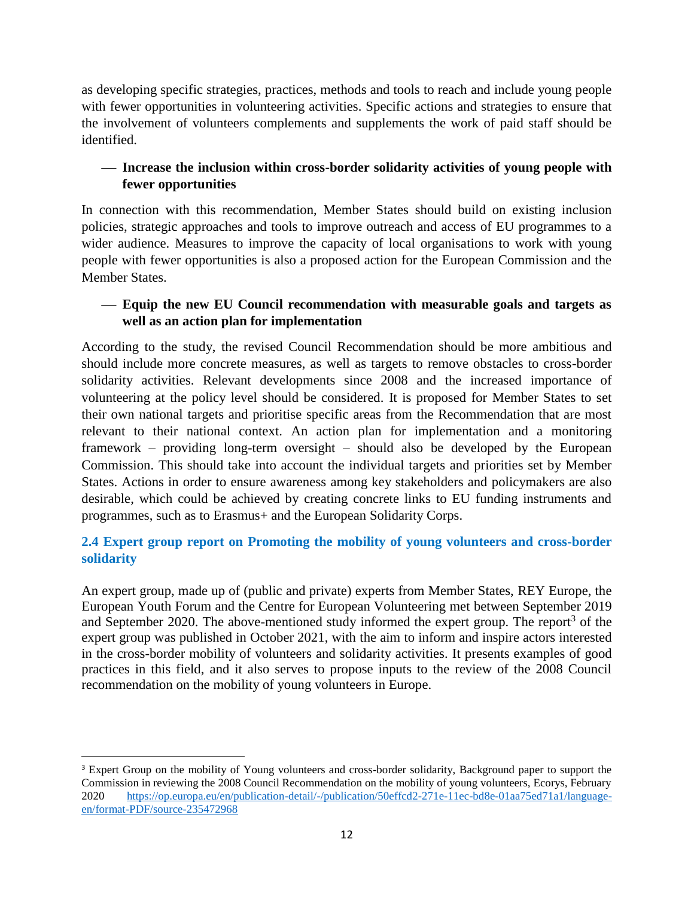as developing specific strategies, practices, methods and tools to reach and include young people with fewer opportunities in volunteering activities. Specific actions and strategies to ensure that the involvement of volunteers complements and supplements the work of paid staff should be identified.

# **Increase the inclusion within cross-border solidarity activities of young people with fewer opportunities**

In connection with this recommendation, Member States should build on existing inclusion policies, strategic approaches and tools to improve outreach and access of EU programmes to a wider audience. Measures to improve the capacity of local organisations to work with young people with fewer opportunities is also a proposed action for the European Commission and the Member States.

## **Equip the new EU Council recommendation with measurable goals and targets as well as an action plan for implementation**

According to the study, the revised Council Recommendation should be more ambitious and should include more concrete measures, as well as targets to remove obstacles to cross-border solidarity activities. Relevant developments since 2008 and the increased importance of volunteering at the policy level should be considered. It is proposed for Member States to set their own national targets and prioritise specific areas from the Recommendation that are most relevant to their national context. An action plan for implementation and a monitoring framework – providing long-term oversight – should also be developed by the European Commission. This should take into account the individual targets and priorities set by Member States. Actions in order to ensure awareness among key stakeholders and policymakers are also desirable, which could be achieved by creating concrete links to EU funding instruments and programmes, such as to Erasmus+ and the European Solidarity Corps.

# <span id="page-12-0"></span>**2.4 Expert group report on Promoting the mobility of young volunteers and cross-border solidarity**

An expert group, made up of (public and private) experts from Member States, REY Europe, the European Youth Forum and the Centre for European Volunteering met between September 2019 and September 2020. The above-mentioned study informed the expert group. The report<sup>3</sup> of the expert group was published in October 2021, with the aim to inform and inspire actors interested in the cross-border mobility of volunteers and solidarity activities. It presents examples of good practices in this field, and it also serves to propose inputs to the review of the 2008 Council recommendation on the mobility of young volunteers in Europe.

 $\overline{a}$ 

<sup>&</sup>lt;sup>3</sup> Expert Group on the mobility of Young volunteers and cross-border solidarity, Background paper to support the Commission in reviewing the 2008 Council Recommendation on the mobility of young volunteers, Ecorys, February 2020 [https://op.europa.eu/en/publication-detail/-/publication/50effcd2-271e-11ec-bd8e-01aa75ed71a1/language](https://op.europa.eu/en/publication-detail/-/publication/50effcd2-271e-11ec-bd8e-01aa75ed71a1/language-en/format-PDF/source-235472968)[en/format-PDF/source-235472968](https://op.europa.eu/en/publication-detail/-/publication/50effcd2-271e-11ec-bd8e-01aa75ed71a1/language-en/format-PDF/source-235472968)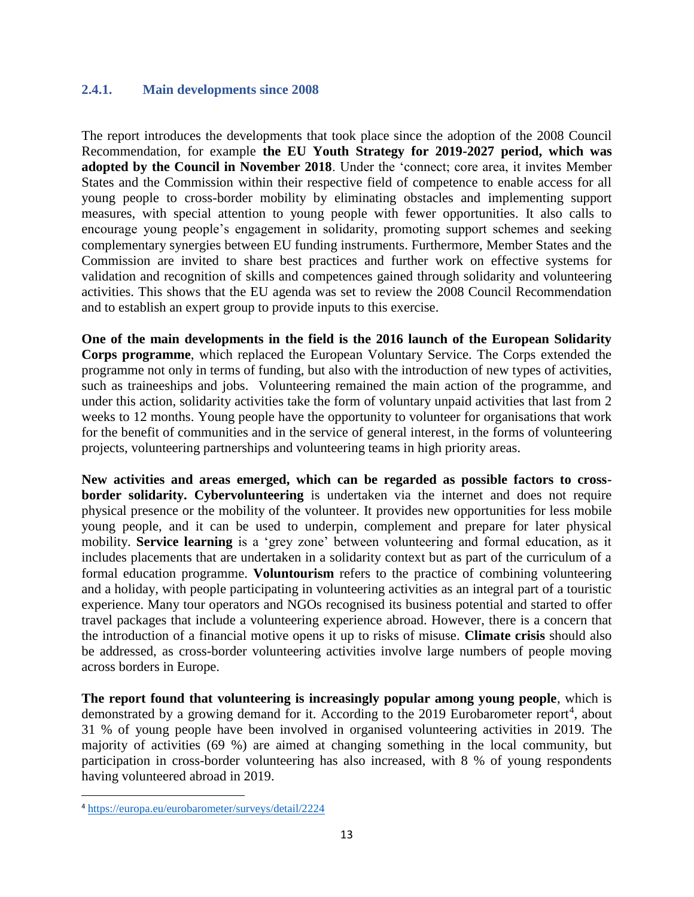### <span id="page-13-0"></span>**2.4.1. Main developments since 2008**

The report introduces the developments that took place since the adoption of the 2008 Council Recommendation, for example **the EU Youth Strategy for 2019-2027 period, which was adopted by the Council in November 2018**. Under the 'connect; core area, it invites Member States and the Commission within their respective field of competence to enable access for all young people to cross-border mobility by eliminating obstacles and implementing support measures, with special attention to young people with fewer opportunities. It also calls to encourage young people's engagement in solidarity, promoting support schemes and seeking complementary synergies between EU funding instruments. Furthermore, Member States and the Commission are invited to share best practices and further work on effective systems for validation and recognition of skills and competences gained through solidarity and volunteering activities. This shows that the EU agenda was set to review the 2008 Council Recommendation and to establish an expert group to provide inputs to this exercise.

**One of the main developments in the field is the 2016 launch of the European Solidarity Corps programme**, which replaced the European Voluntary Service. The Corps extended the programme not only in terms of funding, but also with the introduction of new types of activities, such as traineeships and jobs. Volunteering remained the main action of the programme, and under this action, solidarity activities take the form of voluntary unpaid activities that last from 2 weeks to 12 months. Young people have the opportunity to volunteer for organisations that work for the benefit of communities and in the service of general interest, in the forms of volunteering projects, volunteering partnerships and volunteering teams in high priority areas.

**New activities and areas emerged, which can be regarded as possible factors to crossborder solidarity. Cybervolunteering** is undertaken via the internet and does not require physical presence or the mobility of the volunteer. It provides new opportunities for less mobile young people, and it can be used to underpin, complement and prepare for later physical mobility. **Service learning** is a 'grey zone' between volunteering and formal education, as it includes placements that are undertaken in a solidarity context but as part of the curriculum of a formal education programme. **Voluntourism** refers to the practice of combining volunteering and a holiday, with people participating in volunteering activities as an integral part of a touristic experience. Many tour operators and NGOs recognised its business potential and started to offer travel packages that include a volunteering experience abroad. However, there is a concern that the introduction of a financial motive opens it up to risks of misuse. **Climate crisis** should also be addressed, as cross-border volunteering activities involve large numbers of people moving across borders in Europe.

**The report found that volunteering is increasingly popular among young people**, which is demonstrated by a growing demand for it. According to the 2019 Eurobarometer report<sup>4</sup>, about 31 % of young people have been involved in organised volunteering activities in 2019. The majority of activities (69 %) are aimed at changing something in the local community, but participation in cross-border volunteering has also increased, with 8 % of young respondents having volunteered abroad in 2019.

 $\overline{\phantom{a}}$ 

<sup>4</sup> <https://europa.eu/eurobarometer/surveys/detail/2224>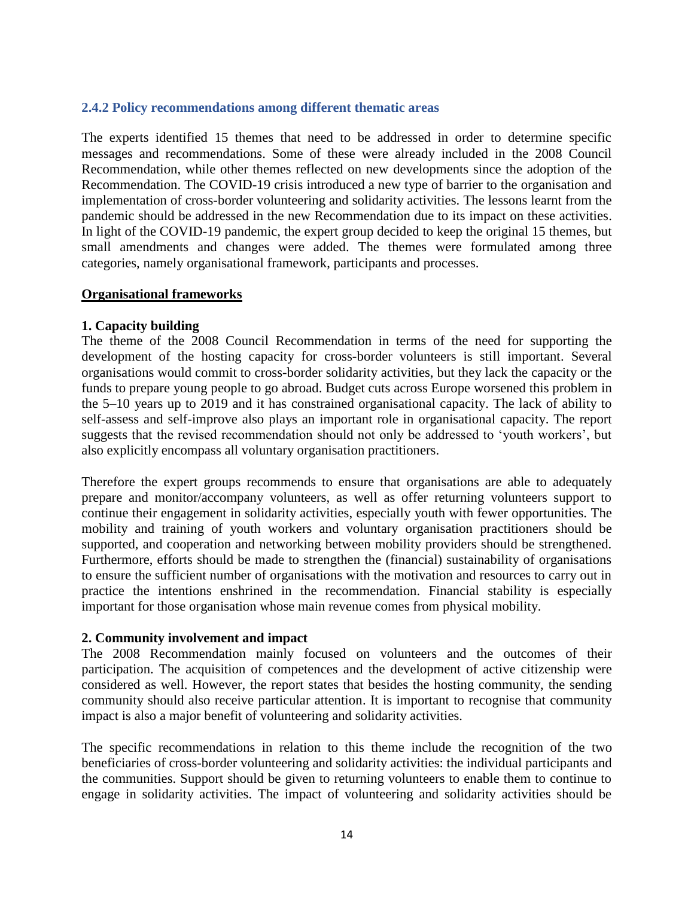#### <span id="page-14-0"></span>**2.4.2 Policy recommendations among different thematic areas**

The experts identified 15 themes that need to be addressed in order to determine specific messages and recommendations. Some of these were already included in the 2008 Council Recommendation, while other themes reflected on new developments since the adoption of the Recommendation. The COVID-19 crisis introduced a new type of barrier to the organisation and implementation of cross-border volunteering and solidarity activities. The lessons learnt from the pandemic should be addressed in the new Recommendation due to its impact on these activities. In light of the COVID-19 pandemic, the expert group decided to keep the original 15 themes, but small amendments and changes were added. The themes were formulated among three categories, namely organisational framework, participants and processes.

#### **Organisational frameworks**

#### **1. Capacity building**

The theme of the 2008 Council Recommendation in terms of the need for supporting the development of the hosting capacity for cross-border volunteers is still important. Several organisations would commit to cross-border solidarity activities, but they lack the capacity or the funds to prepare young people to go abroad. Budget cuts across Europe worsened this problem in the 5–10 years up to 2019 and it has constrained organisational capacity. The lack of ability to self-assess and self-improve also plays an important role in organisational capacity. The report suggests that the revised recommendation should not only be addressed to 'youth workers', but also explicitly encompass all voluntary organisation practitioners.

Therefore the expert groups recommends to ensure that organisations are able to adequately prepare and monitor/accompany volunteers, as well as offer returning volunteers support to continue their engagement in solidarity activities, especially youth with fewer opportunities. The mobility and training of youth workers and voluntary organisation practitioners should be supported, and cooperation and networking between mobility providers should be strengthened. Furthermore, efforts should be made to strengthen the (financial) sustainability of organisations to ensure the sufficient number of organisations with the motivation and resources to carry out in practice the intentions enshrined in the recommendation. Financial stability is especially important for those organisation whose main revenue comes from physical mobility.

#### **2. Community involvement and impact**

The 2008 Recommendation mainly focused on volunteers and the outcomes of their participation. The acquisition of competences and the development of active citizenship were considered as well. However, the report states that besides the hosting community, the sending community should also receive particular attention. It is important to recognise that community impact is also a major benefit of volunteering and solidarity activities.

The specific recommendations in relation to this theme include the recognition of the two beneficiaries of cross-border volunteering and solidarity activities: the individual participants and the communities. Support should be given to returning volunteers to enable them to continue to engage in solidarity activities. The impact of volunteering and solidarity activities should be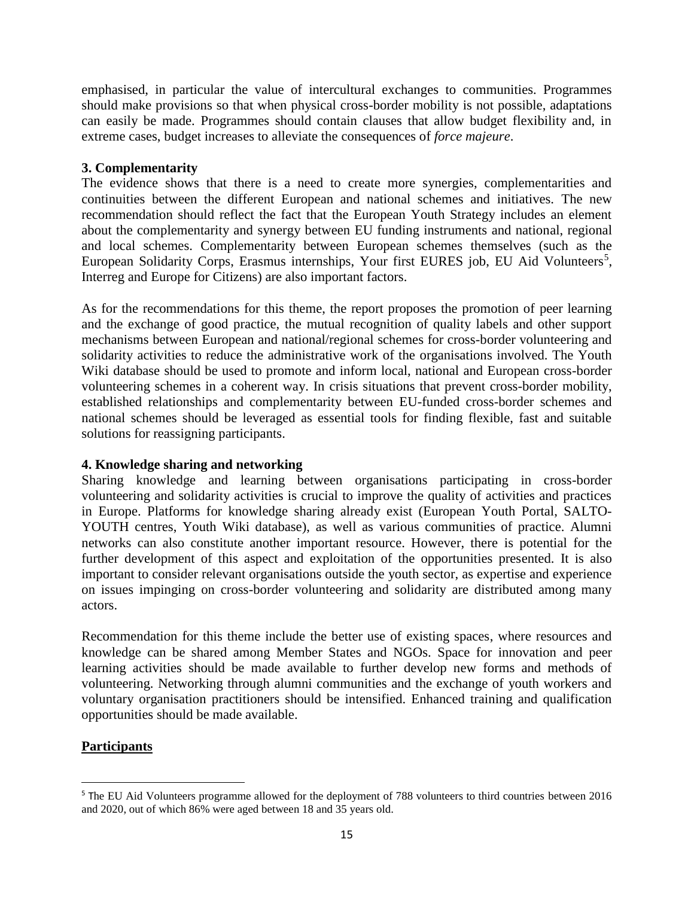emphasised, in particular the value of intercultural exchanges to communities. Programmes should make provisions so that when physical cross-border mobility is not possible, adaptations can easily be made. Programmes should contain clauses that allow budget flexibility and, in extreme cases, budget increases to alleviate the consequences of *force majeure*.

### **3. Complementarity**

The evidence shows that there is a need to create more synergies, complementarities and continuities between the different European and national schemes and initiatives. The new recommendation should reflect the fact that the European Youth Strategy includes an element about the complementarity and synergy between EU funding instruments and national, regional and local schemes. Complementarity between European schemes themselves (such as the European Solidarity Corps, Erasmus internships, Your first EURES job, EU Aid Volunteers<sup>5</sup>, Interreg and Europe for Citizens) are also important factors.

As for the recommendations for this theme, the report proposes the promotion of peer learning and the exchange of good practice, the mutual recognition of quality labels and other support mechanisms between European and national/regional schemes for cross-border volunteering and solidarity activities to reduce the administrative work of the organisations involved. The Youth Wiki database should be used to promote and inform local, national and European cross-border volunteering schemes in a coherent way. In crisis situations that prevent cross-border mobility, established relationships and complementarity between EU-funded cross-border schemes and national schemes should be leveraged as essential tools for finding flexible, fast and suitable solutions for reassigning participants.

### **4. Knowledge sharing and networking**

Sharing knowledge and learning between organisations participating in cross-border volunteering and solidarity activities is crucial to improve the quality of activities and practices in Europe. Platforms for knowledge sharing already exist (European Youth Portal, SALTO-YOUTH centres, Youth Wiki database), as well as various communities of practice. Alumni networks can also constitute another important resource. However, there is potential for the further development of this aspect and exploitation of the opportunities presented. It is also important to consider relevant organisations outside the youth sector, as expertise and experience on issues impinging on cross-border volunteering and solidarity are distributed among many actors.

Recommendation for this theme include the better use of existing spaces, where resources and knowledge can be shared among Member States and NGOs. Space for innovation and peer learning activities should be made available to further develop new forms and methods of volunteering. Networking through alumni communities and the exchange of youth workers and voluntary organisation practitioners should be intensified. Enhanced training and qualification opportunities should be made available.

### **Participants**

l

<sup>5</sup> The EU Aid Volunteers programme allowed for the deployment of 788 volunteers to third countries between 2016 and 2020, out of which 86% were aged between 18 and 35 years old.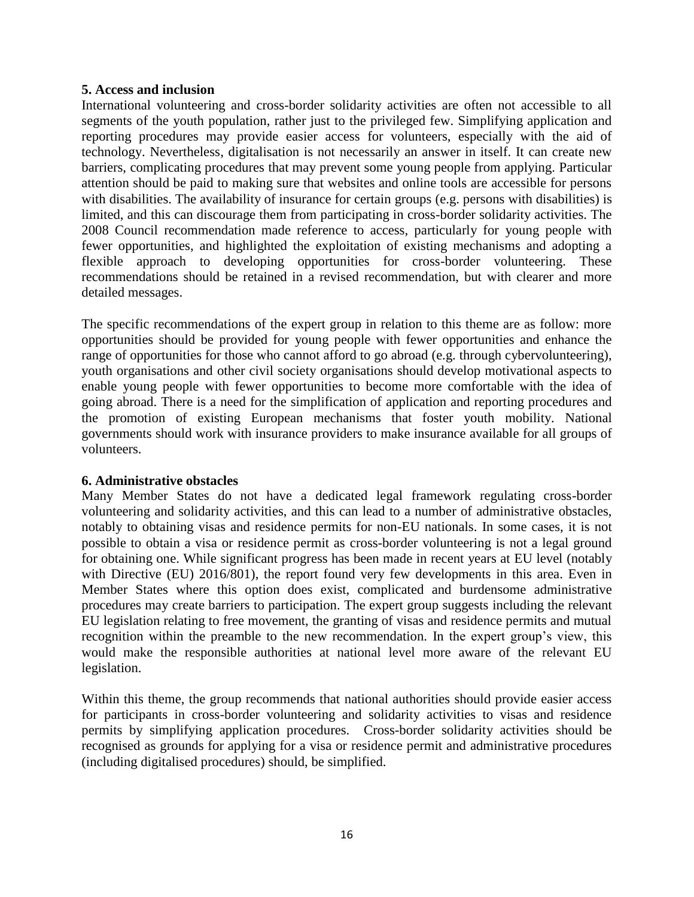#### **5. Access and inclusion**

International volunteering and cross-border solidarity activities are often not accessible to all segments of the youth population, rather just to the privileged few. Simplifying application and reporting procedures may provide easier access for volunteers, especially with the aid of technology. Nevertheless, digitalisation is not necessarily an answer in itself. It can create new barriers, complicating procedures that may prevent some young people from applying. Particular attention should be paid to making sure that websites and online tools are accessible for persons with disabilities. The availability of insurance for certain groups (e.g. persons with disabilities) is limited, and this can discourage them from participating in cross-border solidarity activities. The 2008 Council recommendation made reference to access, particularly for young people with fewer opportunities, and highlighted the exploitation of existing mechanisms and adopting a flexible approach to developing opportunities for cross-border volunteering. These recommendations should be retained in a revised recommendation, but with clearer and more detailed messages.

The specific recommendations of the expert group in relation to this theme are as follow: more opportunities should be provided for young people with fewer opportunities and enhance the range of opportunities for those who cannot afford to go abroad (e.g. through cybervolunteering), youth organisations and other civil society organisations should develop motivational aspects to enable young people with fewer opportunities to become more comfortable with the idea of going abroad. There is a need for the simplification of application and reporting procedures and the promotion of existing European mechanisms that foster youth mobility. National governments should work with insurance providers to make insurance available for all groups of volunteers.

#### **6. Administrative obstacles**

Many Member States do not have a dedicated legal framework regulating cross-border volunteering and solidarity activities, and this can lead to a number of administrative obstacles, notably to obtaining visas and residence permits for non-EU nationals. In some cases, it is not possible to obtain a visa or residence permit as cross-border volunteering is not a legal ground for obtaining one. While significant progress has been made in recent years at EU level (notably with Directive (EU) 2016/801), the report found very few developments in this area. Even in Member States where this option does exist, complicated and burdensome administrative procedures may create barriers to participation. The expert group suggests including the relevant EU legislation relating to free movement, the granting of visas and residence permits and mutual recognition within the preamble to the new recommendation. In the expert group's view, this would make the responsible authorities at national level more aware of the relevant EU legislation.

Within this theme, the group recommends that national authorities should provide easier access for participants in cross-border volunteering and solidarity activities to visas and residence permits by simplifying application procedures. Cross-border solidarity activities should be recognised as grounds for applying for a visa or residence permit and administrative procedures (including digitalised procedures) should, be simplified.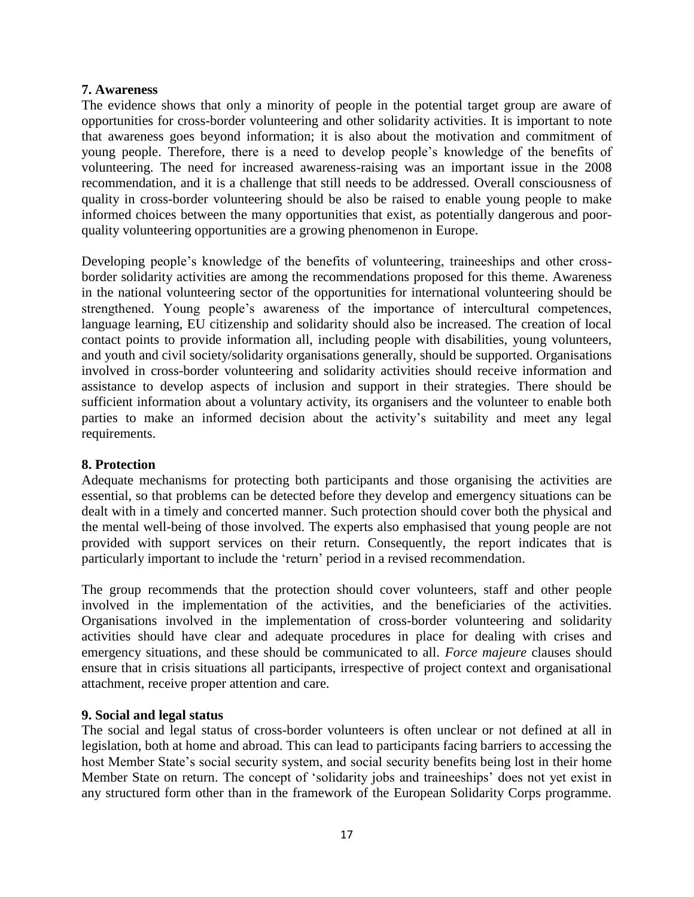#### **7. Awareness**

The evidence shows that only a minority of people in the potential target group are aware of opportunities for cross-border volunteering and other solidarity activities. It is important to note that awareness goes beyond information; it is also about the motivation and commitment of young people. Therefore, there is a need to develop people's knowledge of the benefits of volunteering. The need for increased awareness-raising was an important issue in the 2008 recommendation, and it is a challenge that still needs to be addressed. Overall consciousness of quality in cross-border volunteering should be also be raised to enable young people to make informed choices between the many opportunities that exist, as potentially dangerous and poorquality volunteering opportunities are a growing phenomenon in Europe.

Developing people's knowledge of the benefits of volunteering, traineeships and other crossborder solidarity activities are among the recommendations proposed for this theme. Awareness in the national volunteering sector of the opportunities for international volunteering should be strengthened. Young people's awareness of the importance of intercultural competences, language learning, EU citizenship and solidarity should also be increased. The creation of local contact points to provide information all, including people with disabilities, young volunteers, and youth and civil society/solidarity organisations generally, should be supported. Organisations involved in cross-border volunteering and solidarity activities should receive information and assistance to develop aspects of inclusion and support in their strategies. There should be sufficient information about a voluntary activity, its organisers and the volunteer to enable both parties to make an informed decision about the activity's suitability and meet any legal requirements.

#### **8. Protection**

Adequate mechanisms for protecting both participants and those organising the activities are essential, so that problems can be detected before they develop and emergency situations can be dealt with in a timely and concerted manner. Such protection should cover both the physical and the mental well-being of those involved. The experts also emphasised that young people are not provided with support services on their return. Consequently, the report indicates that is particularly important to include the 'return' period in a revised recommendation.

The group recommends that the protection should cover volunteers, staff and other people involved in the implementation of the activities, and the beneficiaries of the activities. Organisations involved in the implementation of cross-border volunteering and solidarity activities should have clear and adequate procedures in place for dealing with crises and emergency situations, and these should be communicated to all. *Force majeure* clauses should ensure that in crisis situations all participants, irrespective of project context and organisational attachment, receive proper attention and care.

#### **9. Social and legal status**

The social and legal status of cross-border volunteers is often unclear or not defined at all in legislation, both at home and abroad. This can lead to participants facing barriers to accessing the host Member State's social security system, and social security benefits being lost in their home Member State on return. The concept of 'solidarity jobs and traineeships' does not yet exist in any structured form other than in the framework of the European Solidarity Corps programme.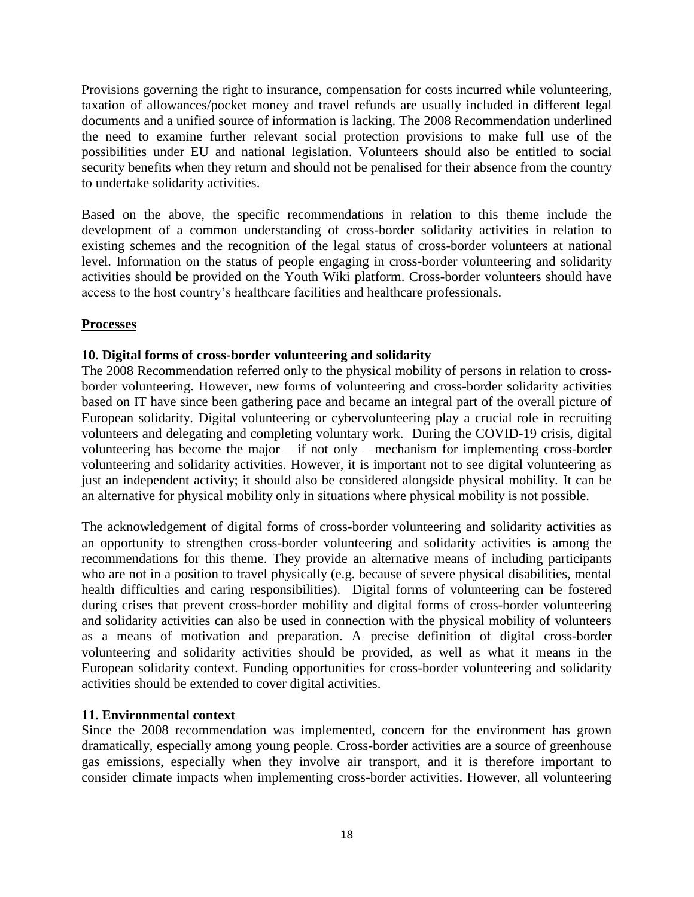Provisions governing the right to insurance, compensation for costs incurred while volunteering, taxation of allowances/pocket money and travel refunds are usually included in different legal documents and a unified source of information is lacking. The 2008 Recommendation underlined the need to examine further relevant social protection provisions to make full use of the possibilities under EU and national legislation. Volunteers should also be entitled to social security benefits when they return and should not be penalised for their absence from the country to undertake solidarity activities.

Based on the above, the specific recommendations in relation to this theme include the development of a common understanding of cross-border solidarity activities in relation to existing schemes and the recognition of the legal status of cross-border volunteers at national level. Information on the status of people engaging in cross-border volunteering and solidarity activities should be provided on the Youth Wiki platform. Cross-border volunteers should have access to the host country's healthcare facilities and healthcare professionals.

### **Processes**

### **10. Digital forms of cross-border volunteering and solidarity**

The 2008 Recommendation referred only to the physical mobility of persons in relation to crossborder volunteering. However, new forms of volunteering and cross-border solidarity activities based on IT have since been gathering pace and became an integral part of the overall picture of European solidarity. Digital volunteering or cybervolunteering play a crucial role in recruiting volunteers and delegating and completing voluntary work. During the COVID-19 crisis, digital volunteering has become the major – if not only – mechanism for implementing cross-border volunteering and solidarity activities. However, it is important not to see digital volunteering as just an independent activity; it should also be considered alongside physical mobility. It can be an alternative for physical mobility only in situations where physical mobility is not possible.

The acknowledgement of digital forms of cross-border volunteering and solidarity activities as an opportunity to strengthen cross-border volunteering and solidarity activities is among the recommendations for this theme. They provide an alternative means of including participants who are not in a position to travel physically (e.g. because of severe physical disabilities, mental health difficulties and caring responsibilities). Digital forms of volunteering can be fostered during crises that prevent cross-border mobility and digital forms of cross-border volunteering and solidarity activities can also be used in connection with the physical mobility of volunteers as a means of motivation and preparation. A precise definition of digital cross-border volunteering and solidarity activities should be provided, as well as what it means in the European solidarity context. Funding opportunities for cross-border volunteering and solidarity activities should be extended to cover digital activities.

#### **11. Environmental context**

Since the 2008 recommendation was implemented, concern for the environment has grown dramatically, especially among young people. Cross-border activities are a source of greenhouse gas emissions, especially when they involve air transport, and it is therefore important to consider climate impacts when implementing cross-border activities. However, all volunteering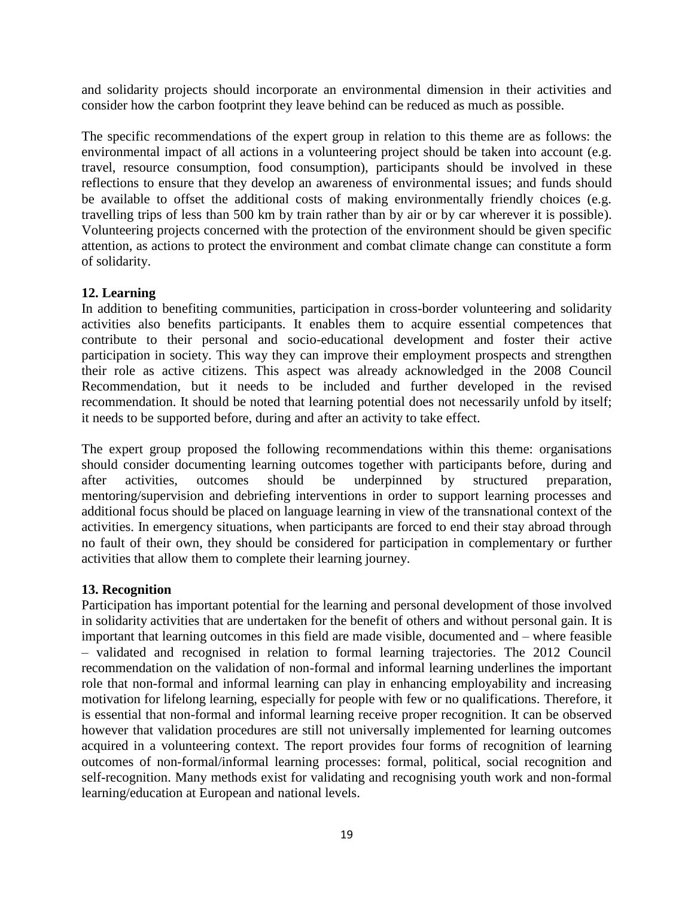and solidarity projects should incorporate an environmental dimension in their activities and consider how the carbon footprint they leave behind can be reduced as much as possible.

The specific recommendations of the expert group in relation to this theme are as follows: the environmental impact of all actions in a volunteering project should be taken into account (e.g. travel, resource consumption, food consumption), participants should be involved in these reflections to ensure that they develop an awareness of environmental issues; and funds should be available to offset the additional costs of making environmentally friendly choices (e.g. travelling trips of less than 500 km by train rather than by air or by car wherever it is possible). Volunteering projects concerned with the protection of the environment should be given specific attention, as actions to protect the environment and combat climate change can constitute a form of solidarity.

### **12. Learning**

In addition to benefiting communities, participation in cross-border volunteering and solidarity activities also benefits participants. It enables them to acquire essential competences that contribute to their personal and socio-educational development and foster their active participation in society. This way they can improve their employment prospects and strengthen their role as active citizens. This aspect was already acknowledged in the 2008 Council Recommendation, but it needs to be included and further developed in the revised recommendation. It should be noted that learning potential does not necessarily unfold by itself; it needs to be supported before, during and after an activity to take effect.

The expert group proposed the following recommendations within this theme: organisations should consider documenting learning outcomes together with participants before, during and after activities, outcomes should be underpinned by structured preparation, mentoring/supervision and debriefing interventions in order to support learning processes and additional focus should be placed on language learning in view of the transnational context of the activities. In emergency situations, when participants are forced to end their stay abroad through no fault of their own, they should be considered for participation in complementary or further activities that allow them to complete their learning journey.

#### **13. Recognition**

Participation has important potential for the learning and personal development of those involved in solidarity activities that are undertaken for the benefit of others and without personal gain. It is important that learning outcomes in this field are made visible, documented and – where feasible – validated and recognised in relation to formal learning trajectories. The 2012 Council recommendation on the validation of non-formal and informal learning underlines the important role that non-formal and informal learning can play in enhancing employability and increasing motivation for lifelong learning, especially for people with few or no qualifications. Therefore, it is essential that non-formal and informal learning receive proper recognition. It can be observed however that validation procedures are still not universally implemented for learning outcomes acquired in a volunteering context. The report provides four forms of recognition of learning outcomes of non-formal/informal learning processes: formal, political, social recognition and self-recognition. Many methods exist for validating and recognising youth work and non-formal learning/education at European and national levels.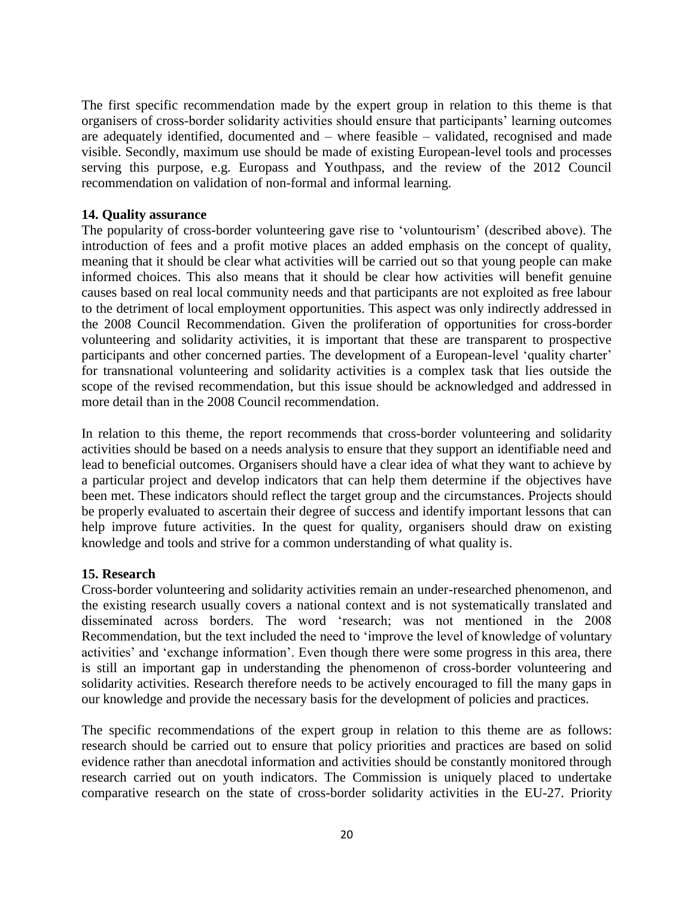The first specific recommendation made by the expert group in relation to this theme is that organisers of cross-border solidarity activities should ensure that participants' learning outcomes are adequately identified, documented and – where feasible – validated, recognised and made visible. Secondly, maximum use should be made of existing European-level tools and processes serving this purpose, e.g. Europass and Youthpass, and the review of the 2012 Council recommendation on validation of non-formal and informal learning.

#### **14. Quality assurance**

The popularity of cross-border volunteering gave rise to 'voluntourism' (described above). The introduction of fees and a profit motive places an added emphasis on the concept of quality, meaning that it should be clear what activities will be carried out so that young people can make informed choices. This also means that it should be clear how activities will benefit genuine causes based on real local community needs and that participants are not exploited as free labour to the detriment of local employment opportunities. This aspect was only indirectly addressed in the 2008 Council Recommendation. Given the proliferation of opportunities for cross-border volunteering and solidarity activities, it is important that these are transparent to prospective participants and other concerned parties. The development of a European-level 'quality charter' for transnational volunteering and solidarity activities is a complex task that lies outside the scope of the revised recommendation, but this issue should be acknowledged and addressed in more detail than in the 2008 Council recommendation.

In relation to this theme, the report recommends that cross-border volunteering and solidarity activities should be based on a needs analysis to ensure that they support an identifiable need and lead to beneficial outcomes. Organisers should have a clear idea of what they want to achieve by a particular project and develop indicators that can help them determine if the objectives have been met. These indicators should reflect the target group and the circumstances. Projects should be properly evaluated to ascertain their degree of success and identify important lessons that can help improve future activities. In the quest for quality, organisers should draw on existing knowledge and tools and strive for a common understanding of what quality is.

#### **15. Research**

Cross-border volunteering and solidarity activities remain an under-researched phenomenon, and the existing research usually covers a national context and is not systematically translated and disseminated across borders. The word 'research; was not mentioned in the 2008 Recommendation, but the text included the need to 'improve the level of knowledge of voluntary activities' and 'exchange information'. Even though there were some progress in this area, there is still an important gap in understanding the phenomenon of cross-border volunteering and solidarity activities. Research therefore needs to be actively encouraged to fill the many gaps in our knowledge and provide the necessary basis for the development of policies and practices.

The specific recommendations of the expert group in relation to this theme are as follows: research should be carried out to ensure that policy priorities and practices are based on solid evidence rather than anecdotal information and activities should be constantly monitored through research carried out on youth indicators. The Commission is uniquely placed to undertake comparative research on the state of cross-border solidarity activities in the EU-27. Priority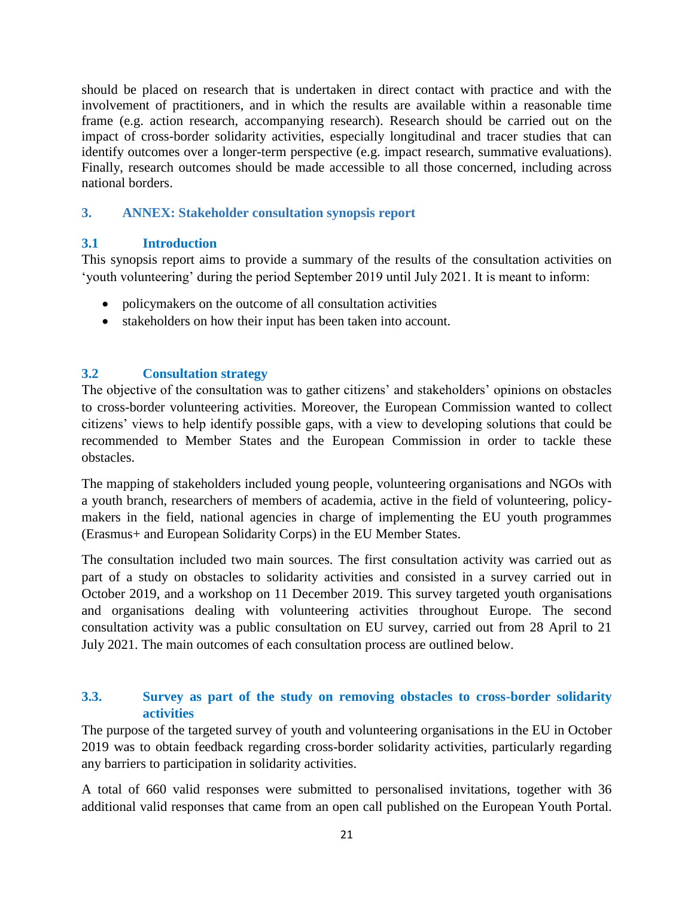should be placed on research that is undertaken in direct contact with practice and with the involvement of practitioners, and in which the results are available within a reasonable time frame (e.g. action research, accompanying research). Research should be carried out on the impact of cross-border solidarity activities, especially longitudinal and tracer studies that can identify outcomes over a longer-term perspective (e.g. impact research, summative evaluations). Finally, research outcomes should be made accessible to all those concerned, including across national borders.

### <span id="page-21-0"></span>**3. ANNEX: Stakeholder consultation synopsis report**

# <span id="page-21-1"></span>**3.1 Introduction**

This synopsis report aims to provide a summary of the results of the consultation activities on 'youth volunteering' during the period September 2019 until July 2021. It is meant to inform:

- policymakers on the outcome of all consultation activities
- stakeholders on how their input has been taken into account.

# <span id="page-21-2"></span>**3.2 Consultation strategy**

The objective of the consultation was to gather citizens' and stakeholders' opinions on obstacles to cross-border volunteering activities. Moreover, the European Commission wanted to collect citizens' views to help identify possible gaps, with a view to developing solutions that could be recommended to Member States and the European Commission in order to tackle these obstacles.

The mapping of stakeholders included young people, volunteering organisations and NGOs with a youth branch, researchers of members of academia, active in the field of volunteering, policymakers in the field, national agencies in charge of implementing the EU youth programmes (Erasmus+ and European Solidarity Corps) in the EU Member States.

The consultation included two main sources. The first consultation activity was carried out as part of a study on obstacles to solidarity activities and consisted in a survey carried out in October 2019, and a workshop on 11 December 2019. This survey targeted youth organisations and organisations dealing with volunteering activities throughout Europe. The second consultation activity was a public consultation on EU survey, carried out from 28 April to 21 July 2021. The main outcomes of each consultation process are outlined below.

### <span id="page-21-3"></span>**3.3. Survey as part of the study on removing obstacles to cross-border solidarity activities**

The purpose of the targeted survey of youth and volunteering organisations in the EU in October 2019 was to obtain feedback regarding cross-border solidarity activities, particularly regarding any barriers to participation in solidarity activities.

A total of 660 valid responses were submitted to personalised invitations, together with 36 additional valid responses that came from an open call published on the European Youth Portal.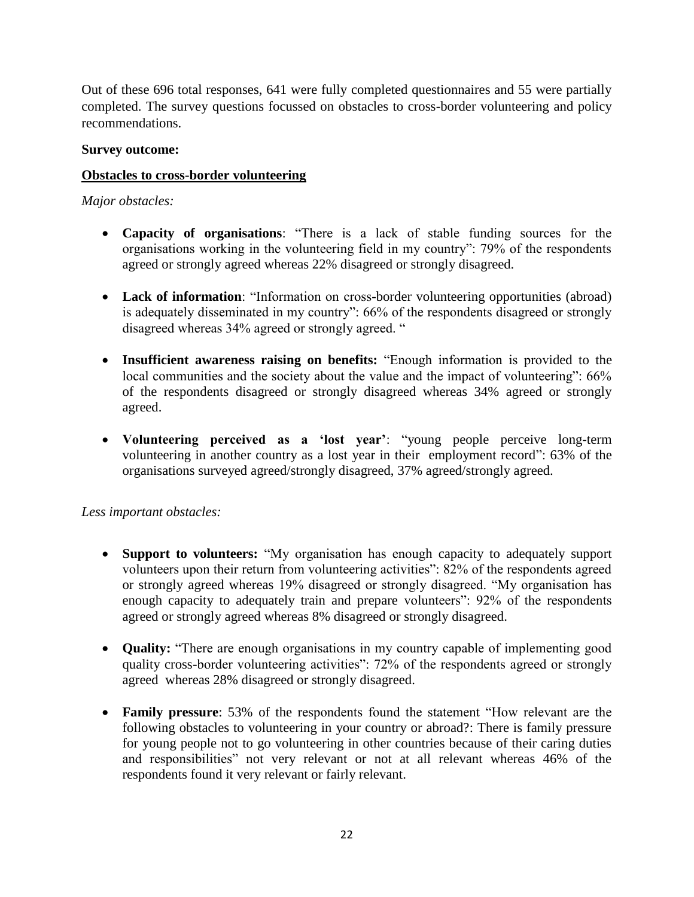Out of these 696 total responses, 641 were fully completed questionnaires and 55 were partially completed. The survey questions focussed on obstacles to cross-border volunteering and policy recommendations.

### **Survey outcome:**

### **Obstacles to cross-border volunteering**

### *Major obstacles:*

- **Capacity of organisations**: "There is a lack of stable funding sources for the organisations working in the volunteering field in my country": 79% of the respondents agreed or strongly agreed whereas 22% disagreed or strongly disagreed.
- Lack of information: "Information on cross-border volunteering opportunities (abroad) is adequately disseminated in my country": 66% of the respondents disagreed or strongly disagreed whereas 34% agreed or strongly agreed. "
- **Insufficient awareness raising on benefits:** "Enough information is provided to the local communities and the society about the value and the impact of volunteering": 66% of the respondents disagreed or strongly disagreed whereas 34% agreed or strongly agreed.
- **Volunteering perceived as a 'lost year'**: "young people perceive long-term volunteering in another country as a lost year in their employment record": 63% of the organisations surveyed agreed/strongly disagreed, 37% agreed/strongly agreed.

#### *Less important obstacles:*

- **Support to volunteers:** "My organisation has enough capacity to adequately support volunteers upon their return from volunteering activities": 82% of the respondents agreed or strongly agreed whereas 19% disagreed or strongly disagreed. "My organisation has enough capacity to adequately train and prepare volunteers": 92% of the respondents agreed or strongly agreed whereas 8% disagreed or strongly disagreed.
- **Quality:** "There are enough organisations in my country capable of implementing good quality cross-border volunteering activities": 72% of the respondents agreed or strongly agreed whereas 28% disagreed or strongly disagreed.
- **Family pressure**: 53% of the respondents found the statement "How relevant are the following obstacles to volunteering in your country or abroad?: There is family pressure for young people not to go volunteering in other countries because of their caring duties and responsibilities" not very relevant or not at all relevant whereas 46% of the respondents found it very relevant or fairly relevant.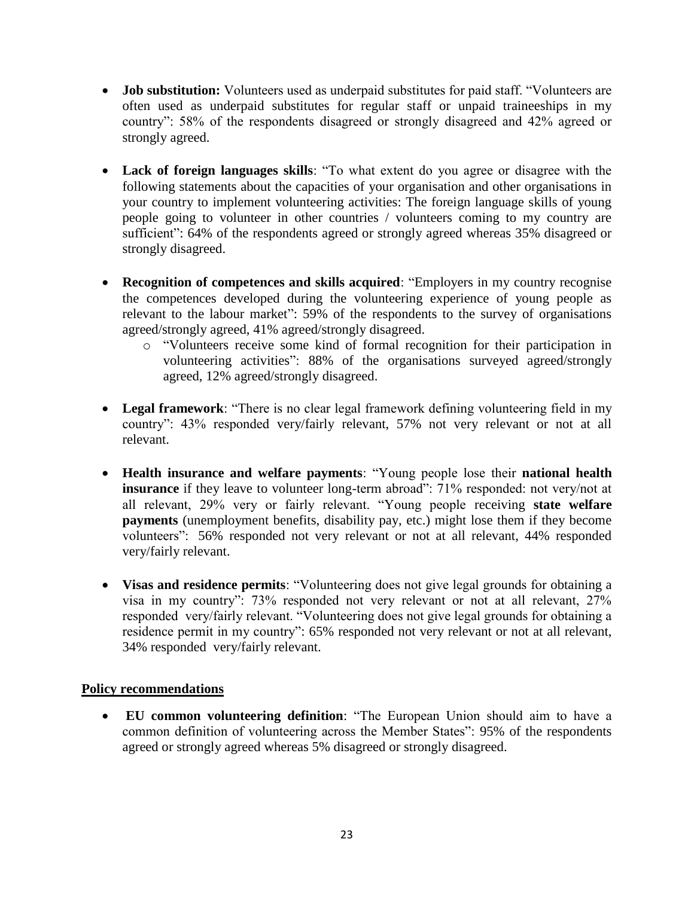- **Job substitution:** Volunteers used as underpaid substitutes for paid staff. "Volunteers are often used as underpaid substitutes for regular staff or unpaid traineeships in my country": 58% of the respondents disagreed or strongly disagreed and 42% agreed or strongly agreed.
- **Lack of foreign languages skills**: "To what extent do you agree or disagree with the following statements about the capacities of your organisation and other organisations in your country to implement volunteering activities: The foreign language skills of young people going to volunteer in other countries / volunteers coming to my country are sufficient": 64% of the respondents agreed or strongly agreed whereas 35% disagreed or strongly disagreed.
- **Recognition of competences and skills acquired**: "Employers in my country recognise the competences developed during the volunteering experience of young people as relevant to the labour market": 59% of the respondents to the survey of organisations agreed/strongly agreed, 41% agreed/strongly disagreed.
	- o "Volunteers receive some kind of formal recognition for their participation in volunteering activities": 88% of the organisations surveyed agreed/strongly agreed, 12% agreed/strongly disagreed.
- **Legal framework**: "There is no clear legal framework defining volunteering field in my country": 43% responded very/fairly relevant, 57% not very relevant or not at all relevant.
- **Health insurance and welfare payments**: "Young people lose their **national health insurance** if they leave to volunteer long-term abroad": 71% responded: not very/not at all relevant, 29% very or fairly relevant. "Young people receiving **state welfare payments** (unemployment benefits, disability pay, etc.) might lose them if they become volunteers": 56% responded not very relevant or not at all relevant, 44% responded very/fairly relevant.
- **Visas and residence permits**: "Volunteering does not give legal grounds for obtaining a visa in my country": 73% responded not very relevant or not at all relevant, 27% responded very/fairly relevant. "Volunteering does not give legal grounds for obtaining a residence permit in my country": 65% responded not very relevant or not at all relevant, 34% responded very/fairly relevant.

#### **Policy recommendations**

 **EU common volunteering definition**: "The European Union should aim to have a common definition of volunteering across the Member States": 95% of the respondents agreed or strongly agreed whereas 5% disagreed or strongly disagreed.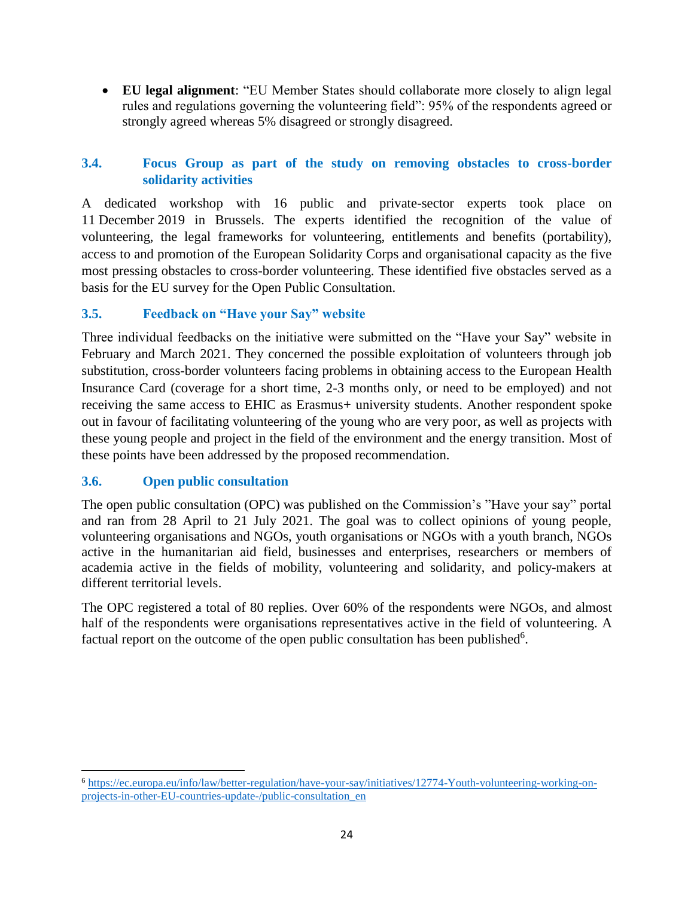**EU legal alignment**: "EU Member States should collaborate more closely to align legal rules and regulations governing the volunteering field": 95% of the respondents agreed or strongly agreed whereas 5% disagreed or strongly disagreed.

# <span id="page-24-0"></span>**3.4. Focus Group as part of the study on removing obstacles to cross-border solidarity activities**

A dedicated workshop with 16 public and private-sector experts took place on 11 December 2019 in Brussels. The experts identified the recognition of the value of volunteering, the legal frameworks for volunteering, entitlements and benefits (portability), access to and promotion of the European Solidarity Corps and organisational capacity as the five most pressing obstacles to cross-border volunteering. These identified five obstacles served as a basis for the EU survey for the Open Public Consultation.

# <span id="page-24-1"></span>**3.5. Feedback on "Have your Say" website**

Three individual feedbacks on the initiative were submitted on the "Have your Say" website in February and March 2021. They concerned the possible exploitation of volunteers through job substitution, cross-border volunteers facing problems in obtaining access to the European Health Insurance Card (coverage for a short time, 2-3 months only, or need to be employed) and not receiving the same access to EHIC as Erasmus+ university students. Another respondent spoke out in favour of facilitating volunteering of the young who are very poor, as well as projects with these young people and project in the field of the environment and the energy transition. Most of these points have been addressed by the proposed recommendation.

# <span id="page-24-2"></span>**3.6. Open public consultation**

The open public consultation (OPC) was published on the Commission's "Have your say" portal and ran from 28 April to 21 July 2021. The goal was to collect opinions of young people, volunteering organisations and NGOs, youth organisations or NGOs with a youth branch, NGOs active in the humanitarian aid field, businesses and enterprises, researchers or members of academia active in the fields of mobility, volunteering and solidarity, and policy-makers at different territorial levels.

The OPC registered a total of 80 replies. Over 60% of the respondents were NGOs, and almost half of the respondents were organisations representatives active in the field of volunteering. A factual report on the outcome of the open public consultation has been published $6$ .

 $\overline{\phantom{a}}$ <sup>6</sup> [https://ec.europa.eu/info/law/better-regulation/have-your-say/initiatives/12774-Youth-volunteering-working-on](https://ec.europa.eu/info/law/better-regulation/have-your-say/initiatives/12774-Youth-volunteering-working-on-projects-in-other-EU-countries-update-/public-consultation_en)[projects-in-other-EU-countries-update-/public-consultation\\_en](https://ec.europa.eu/info/law/better-regulation/have-your-say/initiatives/12774-Youth-volunteering-working-on-projects-in-other-EU-countries-update-/public-consultation_en)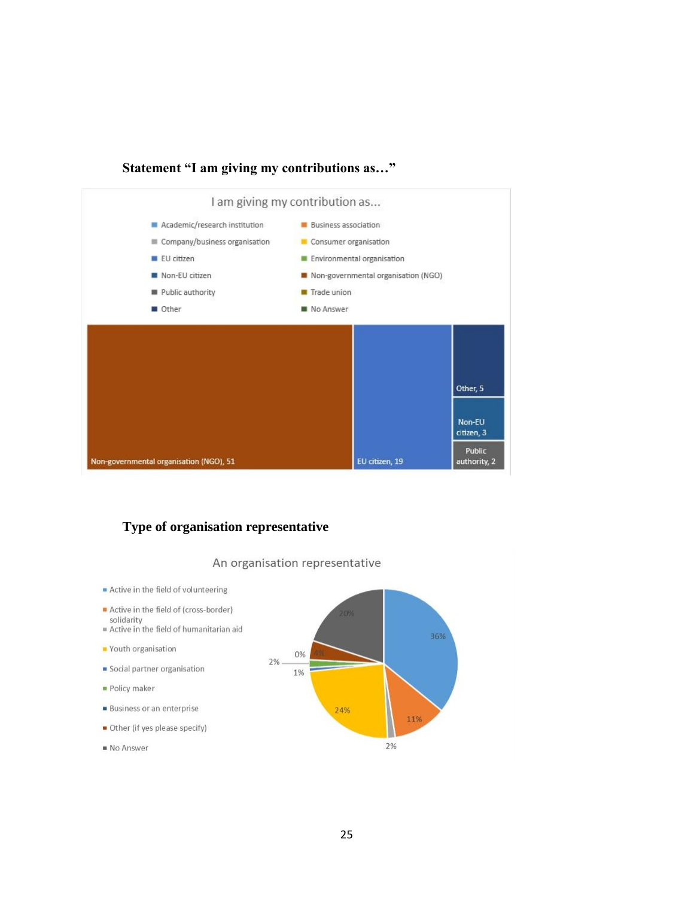#### **Statement "I am giving my contributions as…"**



### **Type of organisation representative**

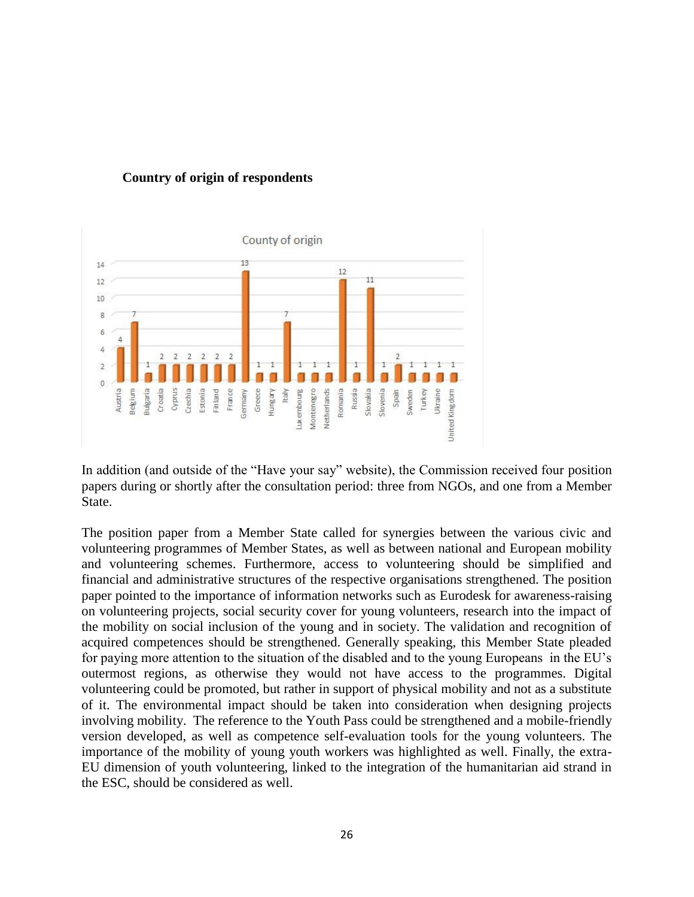



In addition (and outside of the "Have your say" website), the Commission received four position papers during or shortly after the consultation period: three from NGOs, and one from a Member State.

The position paper from a Member State called for synergies between the various civic and volunteering programmes of Member States, as well as between national and European mobility and volunteering schemes. Furthermore, access to volunteering should be simplified and financial and administrative structures of the respective organisations strengthened. The position paper pointed to the importance of information networks such as Eurodesk for awareness-raising on volunteering projects, social security cover for young volunteers, research into the impact of the mobility on social inclusion of the young and in society. The validation and recognition of acquired competences should be strengthened. Generally speaking, this Member State pleaded for paying more attention to the situation of the disabled and to the young Europeans in the EU's outermost regions, as otherwise they would not have access to the programmes. Digital volunteering could be promoted, but rather in support of physical mobility and not as a substitute of it. The environmental impact should be taken into consideration when designing projects involving mobility. The reference to the Youth Pass could be strengthened and a mobile-friendly version developed, as well as competence self-evaluation tools for the young volunteers. The importance of the mobility of young youth workers was highlighted as well. Finally, the extra-EU dimension of youth volunteering, linked to the integration of the humanitarian aid strand in the ESC, should be considered as well.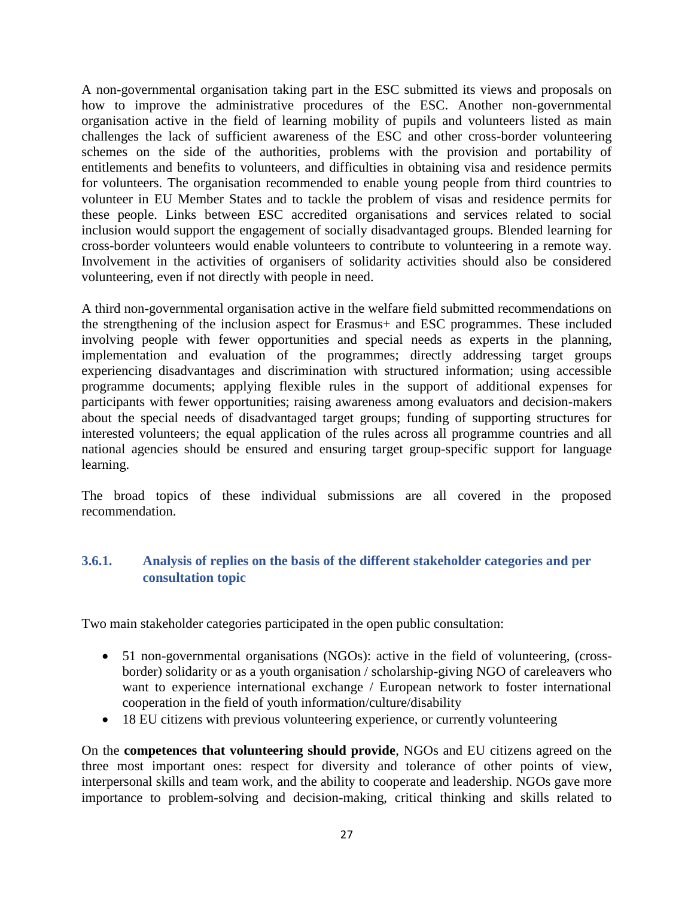A non-governmental organisation taking part in the ESC submitted its views and proposals on how to improve the administrative procedures of the ESC. Another non-governmental organisation active in the field of learning mobility of pupils and volunteers listed as main challenges the lack of sufficient awareness of the ESC and other cross-border volunteering schemes on the side of the authorities, problems with the provision and portability of entitlements and benefits to volunteers, and difficulties in obtaining visa and residence permits for volunteers. The organisation recommended to enable young people from third countries to volunteer in EU Member States and to tackle the problem of visas and residence permits for these people. Links between ESC accredited organisations and services related to social inclusion would support the engagement of socially disadvantaged groups. Blended learning for cross-border volunteers would enable volunteers to contribute to volunteering in a remote way. Involvement in the activities of organisers of solidarity activities should also be considered volunteering, even if not directly with people in need.

A third non-governmental organisation active in the welfare field submitted recommendations on the strengthening of the inclusion aspect for Erasmus+ and ESC programmes. These included involving people with fewer opportunities and special needs as experts in the planning, implementation and evaluation of the programmes; directly addressing target groups experiencing disadvantages and discrimination with structured information; using accessible programme documents; applying flexible rules in the support of additional expenses for participants with fewer opportunities; raising awareness among evaluators and decision-makers about the special needs of disadvantaged target groups; funding of supporting structures for interested volunteers; the equal application of the rules across all programme countries and all national agencies should be ensured and ensuring target group-specific support for language learning.

The broad topics of these individual submissions are all covered in the proposed recommendation.

### <span id="page-27-0"></span>**3.6.1. Analysis of replies on the basis of the different stakeholder categories and per consultation topic**

Two main stakeholder categories participated in the open public consultation:

- 51 non-governmental organisations (NGOs): active in the field of volunteering, (crossborder) solidarity or as a youth organisation / scholarship-giving NGO of careleavers who want to experience international exchange / European network to foster international cooperation in the field of youth information/culture/disability
- 18 EU citizens with previous volunteering experience, or currently volunteering

On the **competences that volunteering should provide**, NGOs and EU citizens agreed on the three most important ones: respect for diversity and tolerance of other points of view, interpersonal skills and team work, and the ability to cooperate and leadership. NGOs gave more importance to problem-solving and decision-making, critical thinking and skills related to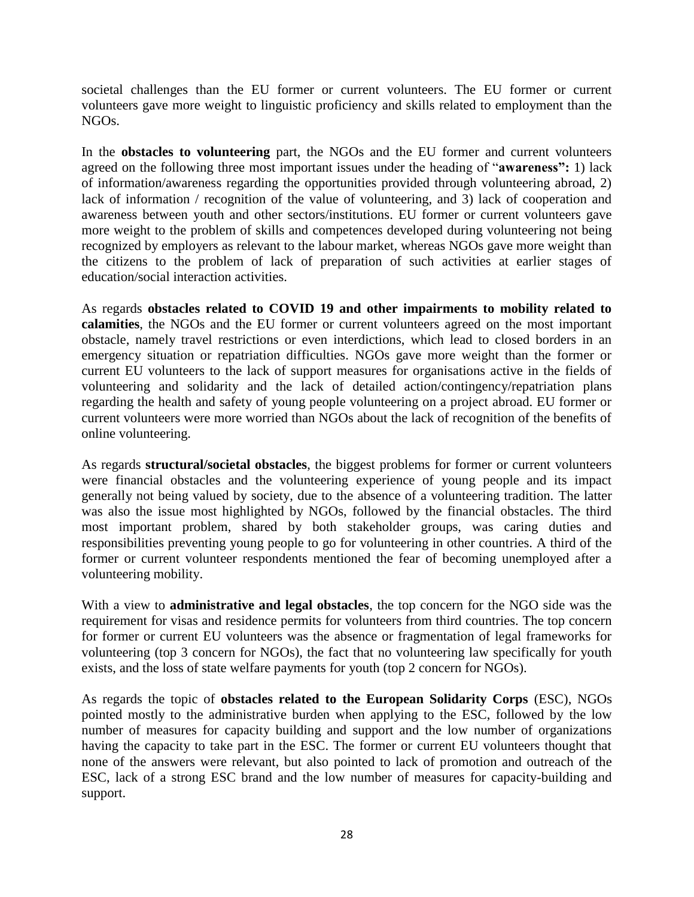societal challenges than the EU former or current volunteers. The EU former or current volunteers gave more weight to linguistic proficiency and skills related to employment than the NGOs.

In the **obstacles to volunteering** part, the NGOs and the EU former and current volunteers agreed on the following three most important issues under the heading of "**awareness":** 1) lack of information/awareness regarding the opportunities provided through volunteering abroad, 2) lack of information / recognition of the value of volunteering, and 3) lack of cooperation and awareness between youth and other sectors/institutions. EU former or current volunteers gave more weight to the problem of skills and competences developed during volunteering not being recognized by employers as relevant to the labour market, whereas NGOs gave more weight than the citizens to the problem of lack of preparation of such activities at earlier stages of education/social interaction activities.

As regards **obstacles related to COVID 19 and other impairments to mobility related to calamities**, the NGOs and the EU former or current volunteers agreed on the most important obstacle, namely travel restrictions or even interdictions, which lead to closed borders in an emergency situation or repatriation difficulties. NGOs gave more weight than the former or current EU volunteers to the lack of support measures for organisations active in the fields of volunteering and solidarity and the lack of detailed action/contingency/repatriation plans regarding the health and safety of young people volunteering on a project abroad. EU former or current volunteers were more worried than NGOs about the lack of recognition of the benefits of online volunteering.

As regards **structural/societal obstacles**, the biggest problems for former or current volunteers were financial obstacles and the volunteering experience of young people and its impact generally not being valued by society, due to the absence of a volunteering tradition. The latter was also the issue most highlighted by NGOs, followed by the financial obstacles. The third most important problem, shared by both stakeholder groups, was caring duties and responsibilities preventing young people to go for volunteering in other countries. A third of the former or current volunteer respondents mentioned the fear of becoming unemployed after a volunteering mobility.

With a view to **administrative and legal obstacles**, the top concern for the NGO side was the requirement for visas and residence permits for volunteers from third countries. The top concern for former or current EU volunteers was the absence or fragmentation of legal frameworks for volunteering (top 3 concern for NGOs), the fact that no volunteering law specifically for youth exists, and the loss of state welfare payments for youth (top 2 concern for NGOs).

As regards the topic of **obstacles related to the European Solidarity Corps** (ESC), NGOs pointed mostly to the administrative burden when applying to the ESC, followed by the low number of measures for capacity building and support and the low number of organizations having the capacity to take part in the ESC. The former or current EU volunteers thought that none of the answers were relevant, but also pointed to lack of promotion and outreach of the ESC, lack of a strong ESC brand and the low number of measures for capacity-building and support.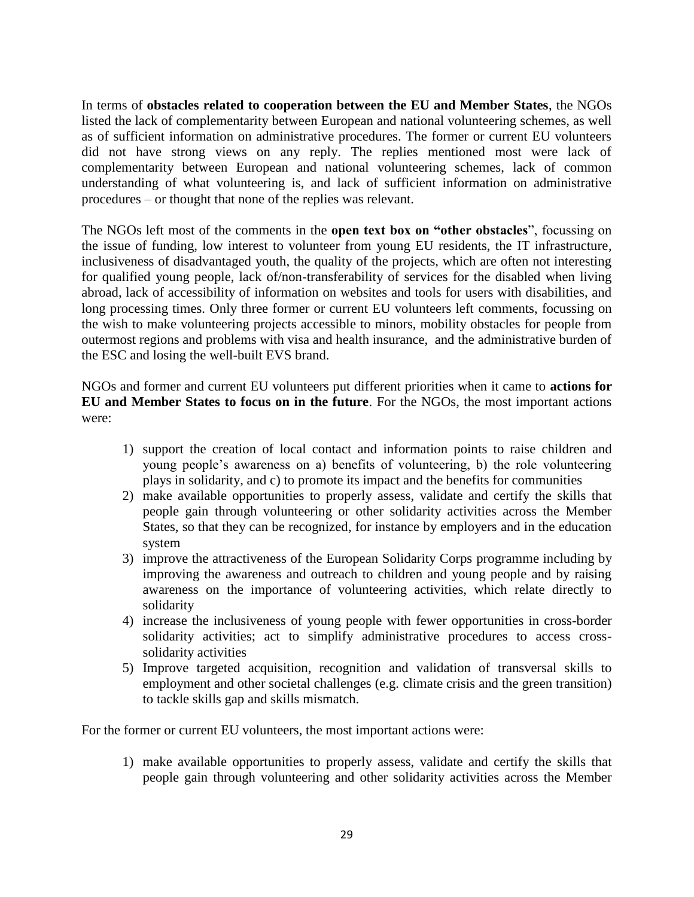In terms of **obstacles related to cooperation between the EU and Member States**, the NGOs listed the lack of complementarity between European and national volunteering schemes, as well as of sufficient information on administrative procedures. The former or current EU volunteers did not have strong views on any reply. The replies mentioned most were lack of complementarity between European and national volunteering schemes, lack of common understanding of what volunteering is, and lack of sufficient information on administrative procedures – or thought that none of the replies was relevant.

The NGOs left most of the comments in the **open text box on "other obstacles**", focussing on the issue of funding, low interest to volunteer from young EU residents, the IT infrastructure, inclusiveness of disadvantaged youth, the quality of the projects, which are often not interesting for qualified young people, lack of/non-transferability of services for the disabled when living abroad, lack of accessibility of information on websites and tools for users with disabilities, and long processing times. Only three former or current EU volunteers left comments, focussing on the wish to make volunteering projects accessible to minors, mobility obstacles for people from outermost regions and problems with visa and health insurance, and the administrative burden of the ESC and losing the well-built EVS brand.

NGOs and former and current EU volunteers put different priorities when it came to **actions for EU and Member States to focus on in the future**. For the NGOs, the most important actions were:

- 1) support the creation of local contact and information points to raise children and young people's awareness on a) benefits of volunteering, b) the role volunteering plays in solidarity, and c) to promote its impact and the benefits for communities
- 2) make available opportunities to properly assess, validate and certify the skills that people gain through volunteering or other solidarity activities across the Member States, so that they can be recognized, for instance by employers and in the education system
- 3) improve the attractiveness of the European Solidarity Corps programme including by improving the awareness and outreach to children and young people and by raising awareness on the importance of volunteering activities, which relate directly to solidarity
- 4) increase the inclusiveness of young people with fewer opportunities in cross-border solidarity activities; act to simplify administrative procedures to access crosssolidarity activities
- 5) Improve targeted acquisition, recognition and validation of transversal skills to employment and other societal challenges (e.g. climate crisis and the green transition) to tackle skills gap and skills mismatch.

For the former or current EU volunteers, the most important actions were:

1) make available opportunities to properly assess, validate and certify the skills that people gain through volunteering and other solidarity activities across the Member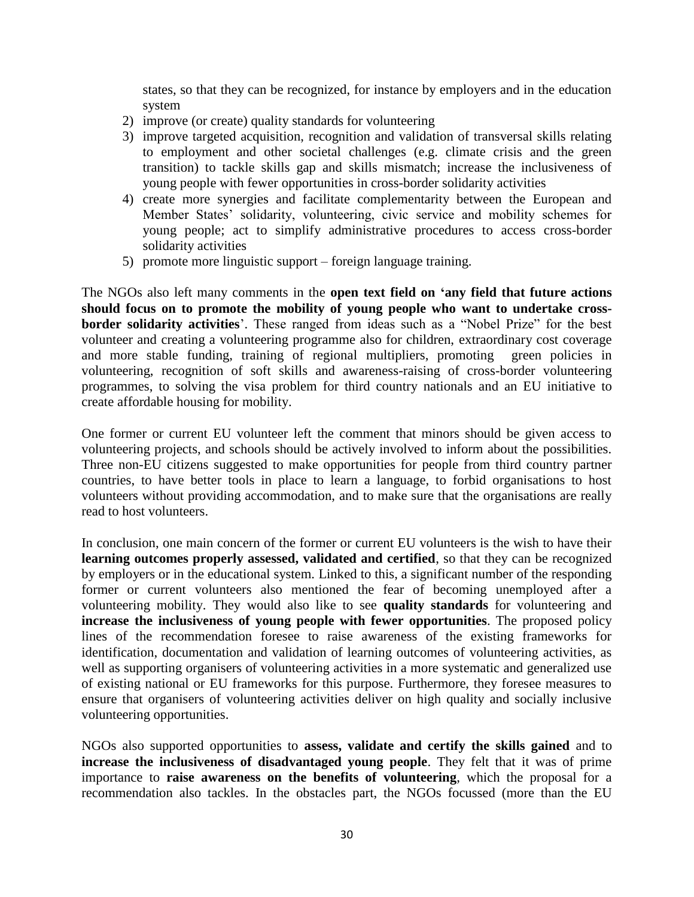states, so that they can be recognized, for instance by employers and in the education system

- 2) improve (or create) quality standards for volunteering
- 3) improve targeted acquisition, recognition and validation of transversal skills relating to employment and other societal challenges (e.g. climate crisis and the green transition) to tackle skills gap and skills mismatch; increase the inclusiveness of young people with fewer opportunities in cross-border solidarity activities
- 4) create more synergies and facilitate complementarity between the European and Member States' solidarity, volunteering, civic service and mobility schemes for young people; act to simplify administrative procedures to access cross-border solidarity activities
- 5) promote more linguistic support foreign language training.

The NGOs also left many comments in the **open text field on 'any field that future actions should focus on to promote the mobility of young people who want to undertake crossborder solidarity activities**'. These ranged from ideas such as a "Nobel Prize" for the best volunteer and creating a volunteering programme also for children, extraordinary cost coverage and more stable funding, training of regional multipliers, promoting green policies in volunteering, recognition of soft skills and awareness-raising of cross-border volunteering programmes, to solving the visa problem for third country nationals and an EU initiative to create affordable housing for mobility.

One former or current EU volunteer left the comment that minors should be given access to volunteering projects, and schools should be actively involved to inform about the possibilities. Three non-EU citizens suggested to make opportunities for people from third country partner countries, to have better tools in place to learn a language, to forbid organisations to host volunteers without providing accommodation, and to make sure that the organisations are really read to host volunteers.

In conclusion, one main concern of the former or current EU volunteers is the wish to have their **learning outcomes properly assessed, validated and certified**, so that they can be recognized by employers or in the educational system. Linked to this, a significant number of the responding former or current volunteers also mentioned the fear of becoming unemployed after a volunteering mobility. They would also like to see **quality standards** for volunteering and **increase the inclusiveness of young people with fewer opportunities**. The proposed policy lines of the recommendation foresee to raise awareness of the existing frameworks for identification, documentation and validation of learning outcomes of volunteering activities, as well as supporting organisers of volunteering activities in a more systematic and generalized use of existing national or EU frameworks for this purpose. Furthermore, they foresee measures to ensure that organisers of volunteering activities deliver on high quality and socially inclusive volunteering opportunities.

NGOs also supported opportunities to **assess, validate and certify the skills gained** and to **increase the inclusiveness of disadvantaged young people**. They felt that it was of prime importance to **raise awareness on the benefits of volunteering**, which the proposal for a recommendation also tackles. In the obstacles part, the NGOs focussed (more than the EU